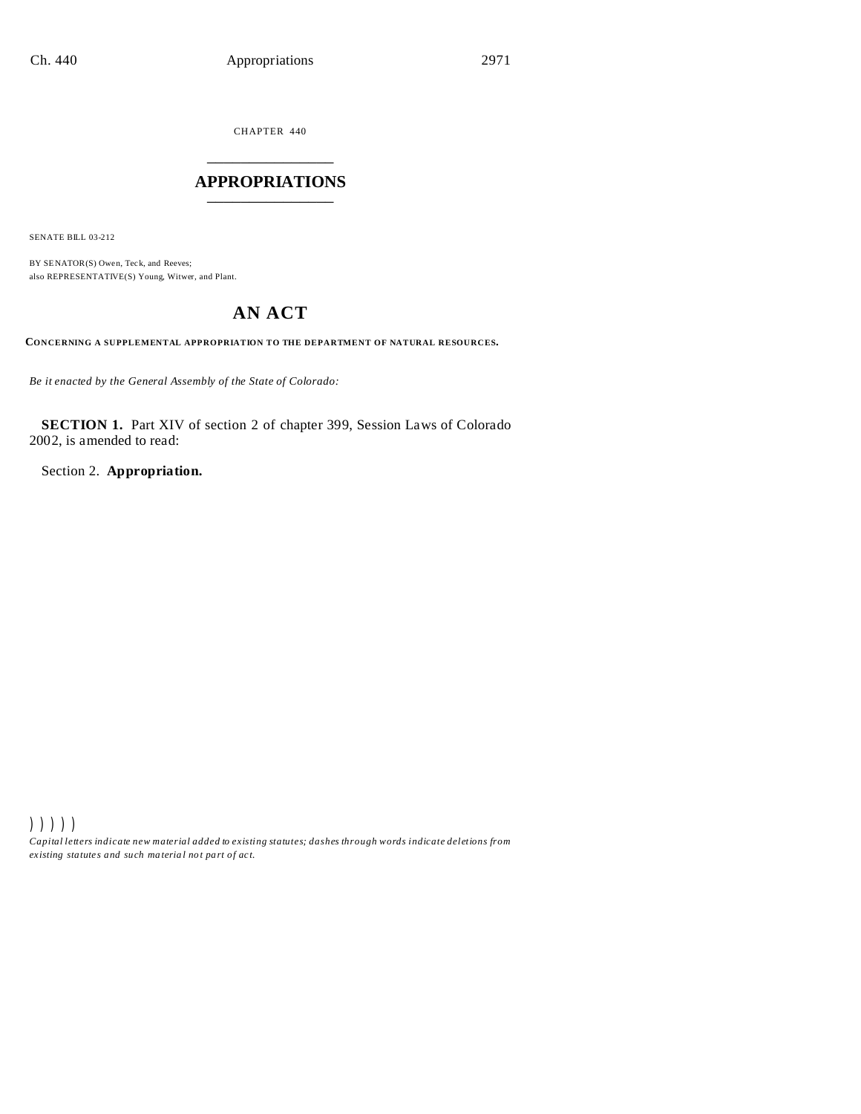CHAPTER 440 \_\_\_\_\_\_\_\_\_\_\_\_\_\_\_

## **APPROPRIATIONS** \_\_\_\_\_\_\_\_\_\_\_\_\_\_\_

SENATE BILL 03-212

BY SENATOR(S) Owen, Teck, and Reeves; also REPRESENTATIVE(S) Young, Witwer, and Plant.

# **AN ACT**

**CONCERNING A SUPPLEMENTAL APPROPRIATION TO THE DEPARTMENT OF NATURAL RESOURCES.**

*Be it enacted by the General Assembly of the State of Colorado:*

**SECTION 1.** Part XIV of section 2 of chapter 399, Session Laws of Colorado 2002, is amended to read:

Section 2. **Appropriation.**

))))) *Capital letters indicate new material added to existing statutes; dashes through words indicate deletions from ex isting statute s and such ma teria l no t pa rt of ac t.*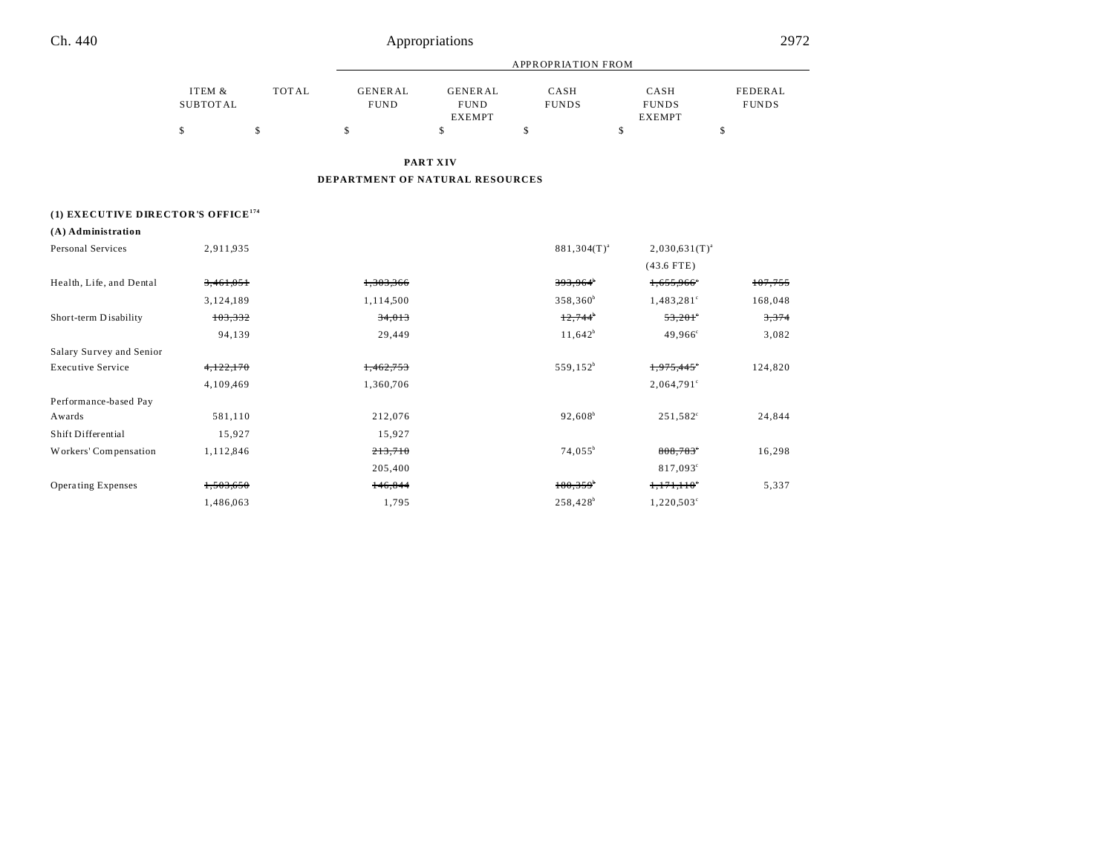|          |              |                |                | APPROPRIATION FROM |               |              |
|----------|--------------|----------------|----------------|--------------------|---------------|--------------|
| ITEM &   | <b>TOTAL</b> | <b>GENERAL</b> | <b>GENERAL</b> | CASH               | CASH          | FEDERAL      |
| SUBTOTAL |              | <b>FUND</b>    | <b>FUND</b>    | <b>FUNDS</b>       | <b>FUNDS</b>  | <b>FUNDS</b> |
|          |              |                | <b>EXEMPT</b>  |                    | <b>EXEMPT</b> |              |
|          |              |                |                |                    |               |              |

**PART XIV**

## **DEPARTMENT OF NATURAL RESOURCES**

## **(1) EXECUTIVE DIRECTOR'S OFFICE<sup>174</sup>**

## **(A) Administration**

| Personal Services         | 2,911,935 |           | $881,304(T)^{a}$       | $2,030,631(T)^{a}$     |         |
|---------------------------|-----------|-----------|------------------------|------------------------|---------|
|                           |           |           |                        | $(43.6$ FTE)           |         |
| Health, Life, and Dental  | 3,461,051 | 1,303,366 | 393,964                | 1,655,966              | 107,755 |
|                           | 3,124,189 | 1,114,500 | $358,360^b$            | 1,483,281 <sup>c</sup> | 168,048 |
| Short-term Disability     | 103,332   | 34,013    | 12,744                 | $53,201^\circ$         | 3,374   |
|                           | 94,139    | 29,449    | $11,642^b$             | $49,966^{\circ}$       | 3,082   |
| Salary Survey and Senior  |           |           |                        |                        |         |
| <b>Executive Service</b>  | 4,122,170 | 1,462,753 | 559,152 <sup>b</sup>   | 1,975,445              | 124,820 |
|                           | 4,109,469 | 1,360,706 |                        | $2,064,791^{\circ}$    |         |
| Performance-based Pay     |           |           |                        |                        |         |
| Awards                    | 581,110   | 212,076   | $92,608^b$             | $251,582^{\circ}$      | 24,844  |
| Shift Differential        | 15,927    | 15,927    |                        |                        |         |
| Workers' Compensation     | 1,112,846 | 213,710   | $74,055^{\circ}$       | $808,783$ <sup>*</sup> | 16,298  |
|                           |           | 205,400   |                        | 817,093 <sup>c</sup>   |         |
| <b>Operating Expenses</b> | 1,503,650 | 146,844   | $180,359$ <sup>*</sup> | 1,171,110              | 5,337   |
|                           | 1,486,063 | 1,795     | 258,428 <sup>b</sup>   | 1,220,503 <sup>c</sup> |         |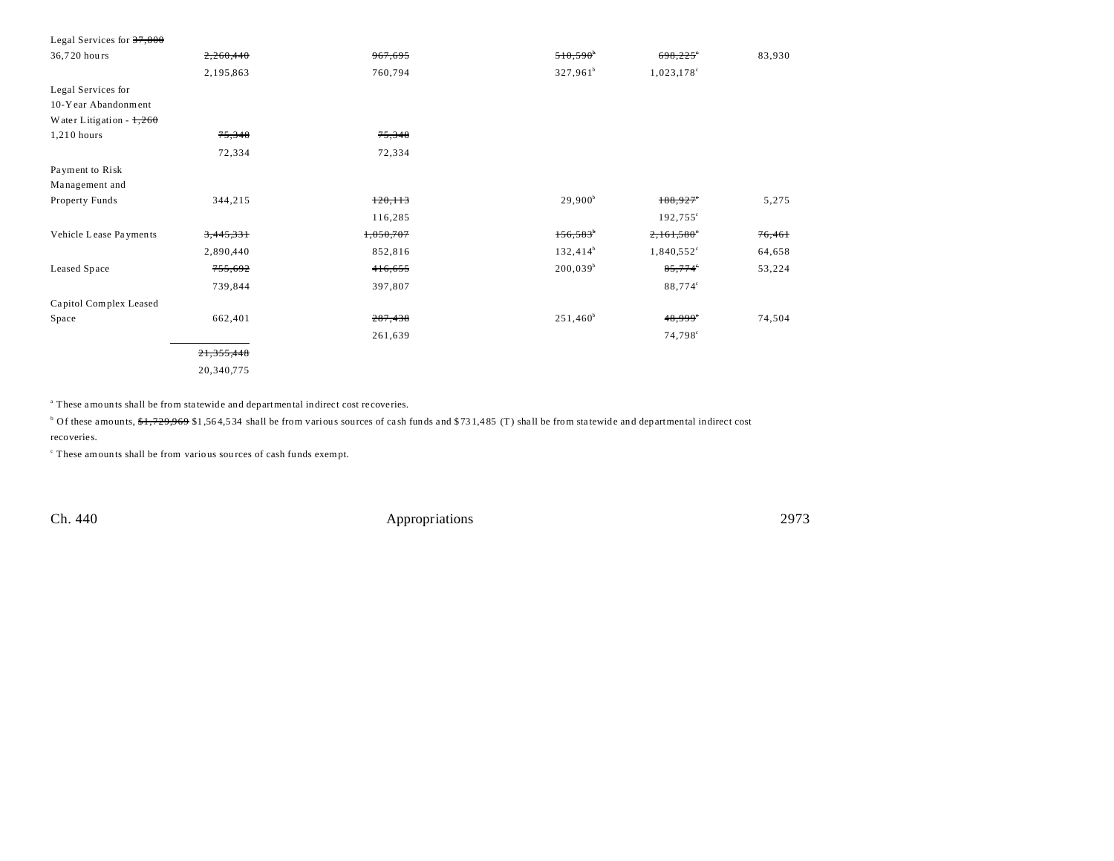| Legal Services for $37,800$ |            |           |                        |                          |        |
|-----------------------------|------------|-----------|------------------------|--------------------------|--------|
| 36,720 hours                | 2,260,440  | 967,695   | 510,590                | 698,225                  | 83,930 |
|                             | 2,195,863  | 760,794   | $327,961^b$            | $1,023,178$ <sup>c</sup> |        |
| Legal Services for          |            |           |                        |                          |        |
| 10-Year Abandonment         |            |           |                        |                          |        |
| Water Litigation - $1,260$  |            |           |                        |                          |        |
| 1,210 hours                 | 75,348     | 75,348    |                        |                          |        |
|                             | 72,334     | 72,334    |                        |                          |        |
| Payment to Risk             |            |           |                        |                          |        |
| Management and              |            |           |                        |                          |        |
| Property Funds              | 344,215    | 120, 113  | $29,900^b$             | $188,927$ <sup>*</sup>   | 5,275  |
|                             |            | 116,285   |                        | 192,755°                 |        |
| Vehicle Lease Payments      | 3,445,331  | 1,050,707 | $156,583$ <sup>*</sup> | 2,161,580°               | 76,461 |
|                             | 2,890,440  | 852,816   | $132,414^b$            | $1,840,552^{\circ}$      | 64,658 |
| Leased Space                | 755,692    | 416,655   | $200,039^b$            | 85,774                   | 53,224 |
|                             | 739,844    | 397,807   |                        | 88,774°                  |        |
| Capitol Complex Leased      |            |           |                        |                          |        |
| Space                       | 662,401    | 287,438   | $251,460^b$            | 48,999°                  | 74,504 |
|                             |            | 261,639   |                        | 74,798 <sup>c</sup>      |        |
|                             | 21,355,448 |           |                        |                          |        |
|                             | 20,340,775 |           |                        |                          |        |

<sup>a</sup> These amounts shall be from statewide and departmental indirect cost recoveries.

 $^{\circ}$  Of these amounts, <del>\$1,729,969</del> \$1,564,534 shall be from various sources of cash funds and \$731,485 (T) shall be from statewide and departmental indirect cost recoveries.

c These amounts shall be from various sou rces of cash funds exempt.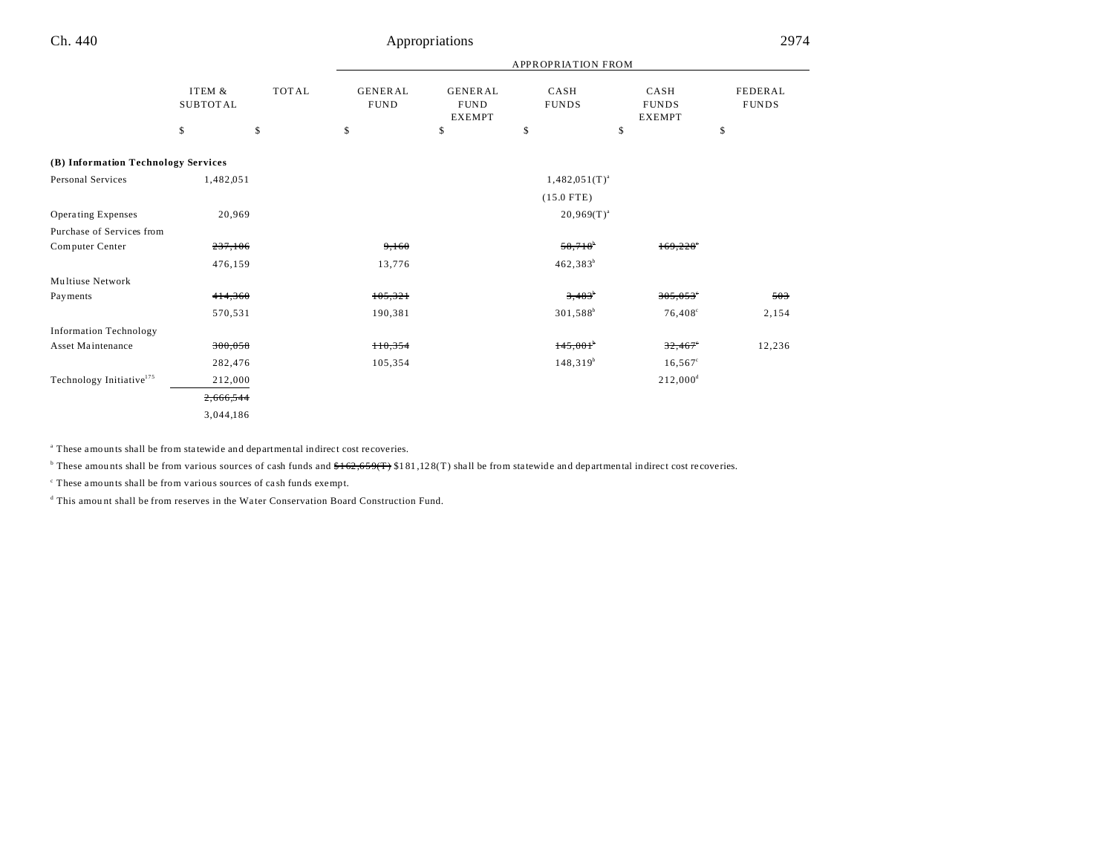|                                      |                           |              |                               |                                                | <b>APPROPRIATION FROM</b> |                                       |                                |
|--------------------------------------|---------------------------|--------------|-------------------------------|------------------------------------------------|---------------------------|---------------------------------------|--------------------------------|
|                                      | ITEM &<br><b>SUBTOTAL</b> | <b>TOTAL</b> | <b>GENERAL</b><br><b>FUND</b> | <b>GENERAL</b><br><b>FUND</b><br><b>EXEMPT</b> | CASH<br><b>FUNDS</b>      | CASH<br><b>FUNDS</b><br><b>EXEMPT</b> | <b>FEDERAL</b><br><b>FUNDS</b> |
|                                      | \$                        | \$           | \$                            | \$                                             | $\mathbb{S}$              | \$                                    | \$                             |
| (B) Information Technology Services  |                           |              |                               |                                                |                           |                                       |                                |
| <b>Personal Services</b>             | 1,482,051                 |              |                               |                                                | $1,482,051(T)^{a}$        |                                       |                                |
|                                      |                           |              |                               |                                                | $(15.0$ FTE)              |                                       |                                |
| <b>Operating Expenses</b>            | 20,969                    |              |                               |                                                | $20,969(T)^{a}$           |                                       |                                |
| Purchase of Services from            |                           |              |                               |                                                |                           |                                       |                                |
| Computer Center                      | 237,106                   |              | 9,160                         |                                                | $58,718$ <sup>b</sup>     | 169.228                               |                                |
|                                      | 476,159                   |              | 13,776                        |                                                | $462,383^b$               |                                       |                                |
| Multiuse Network                     |                           |              |                               |                                                |                           |                                       |                                |
| Payments                             | 414,360                   |              | 105,321                       |                                                | $3,483$ <sup>b</sup>      | $305,053$ <sup>e</sup>                | 503                            |
|                                      | 570,531                   |              | 190,381                       |                                                | 301,588 <sup>b</sup>      | $76,408^{\circ}$                      | 2,154                          |
| <b>Information Technology</b>        |                           |              |                               |                                                |                           |                                       |                                |
| Asset Maintenance                    | 300,058                   |              | H0,354                        |                                                | 145,001                   | 32,467                                | 12,236                         |
|                                      | 282,476                   |              | 105,354                       |                                                | $148,319^{b}$             | $16,567^{\circ}$                      |                                |
| Technology Initiative <sup>175</sup> | 212,000                   |              |                               |                                                |                           | $212,000^4$                           |                                |
|                                      | 2,666,544                 |              |                               |                                                |                           |                                       |                                |
|                                      | 3,044,186                 |              |                               |                                                |                           |                                       |                                |

<sup>a</sup> These amounts shall be from statewide and departmental indirect cost recoveries.

<sup>b</sup> These amounts shall be from various sources of cash funds and  $f(2,659(T))$  \$181,128(T) shall be from statewide and departmental indirect cost recoveries.

c These amounts shall be from various sources of ca sh funds exempt.

d This amou nt shall be from reserves in the Wa ter Conservation Board Construction Fund.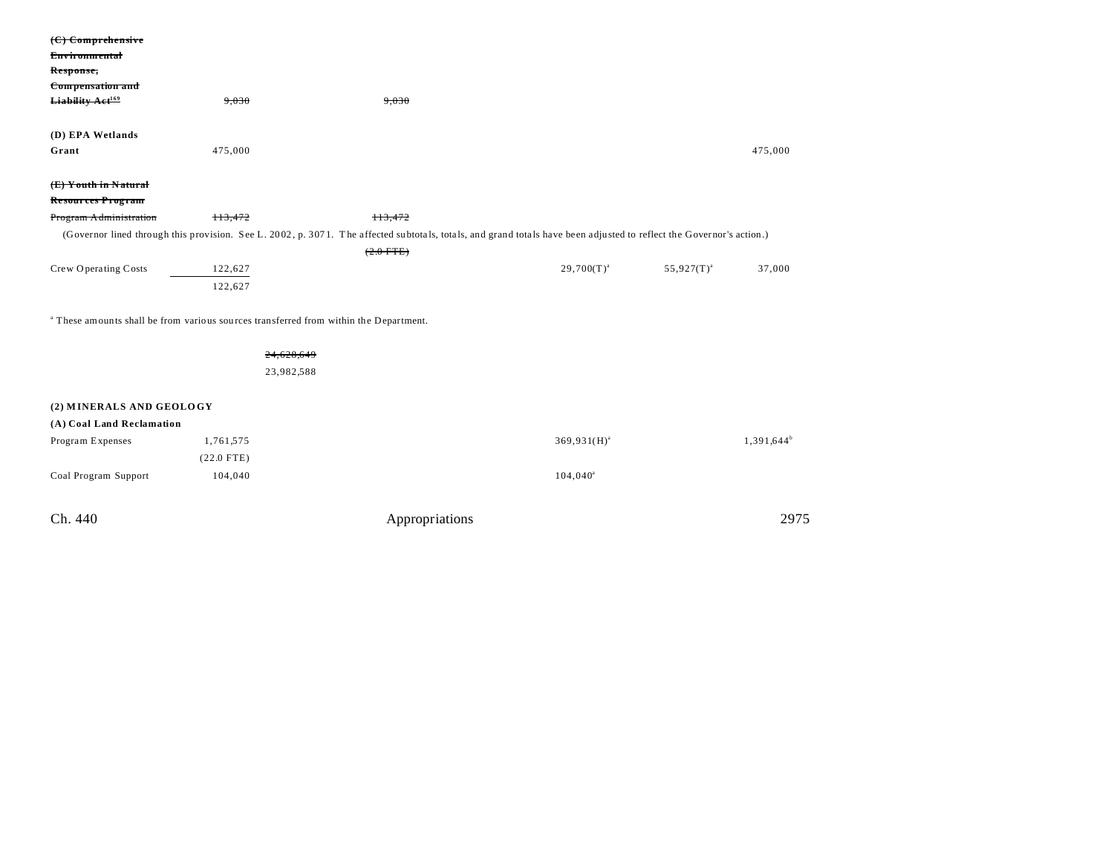| $(C)$ Comprehensive<br><b>Environmental</b>                                                      |              |                                                                                                                                                                      |                  |                 |               |  |
|--------------------------------------------------------------------------------------------------|--------------|----------------------------------------------------------------------------------------------------------------------------------------------------------------------|------------------|-----------------|---------------|--|
| Response,                                                                                        |              |                                                                                                                                                                      |                  |                 |               |  |
| Compensation and                                                                                 |              |                                                                                                                                                                      |                  |                 |               |  |
| Liability Aet <sup>169</sup>                                                                     | 9,030        | 9,030                                                                                                                                                                |                  |                 |               |  |
|                                                                                                  |              |                                                                                                                                                                      |                  |                 |               |  |
| (D) EPA Wetlands                                                                                 |              |                                                                                                                                                                      |                  |                 |               |  |
| Grant                                                                                            | 475,000      |                                                                                                                                                                      |                  |                 | 475,000       |  |
| (E) Youth in Natural                                                                             |              |                                                                                                                                                                      |                  |                 |               |  |
| <b>Resources Program</b>                                                                         |              |                                                                                                                                                                      |                  |                 |               |  |
| Program Administration                                                                           | H3,472       | 113,472                                                                                                                                                              |                  |                 |               |  |
|                                                                                                  |              | (Governor lined through this provision. See L. 2002, p. 3071. The affected subtotals, totals, and grand totals have been adjusted to reflect the Governor's action.) |                  |                 |               |  |
|                                                                                                  |              | $(2.0$ FTE)                                                                                                                                                          |                  |                 |               |  |
| Crew Operating Costs                                                                             | 122,627      |                                                                                                                                                                      | $29,700(T)^{a}$  | $55,927(T)^{a}$ | 37,000        |  |
|                                                                                                  | 122,627      |                                                                                                                                                                      |                  |                 |               |  |
| <sup>a</sup> These amounts shall be from various sources transferred from within the Department. |              |                                                                                                                                                                      |                  |                 |               |  |
|                                                                                                  |              |                                                                                                                                                                      |                  |                 |               |  |
|                                                                                                  | 24,628,649   |                                                                                                                                                                      |                  |                 |               |  |
|                                                                                                  | 23,982,588   |                                                                                                                                                                      |                  |                 |               |  |
|                                                                                                  |              |                                                                                                                                                                      |                  |                 |               |  |
| (2) MINERALS AND GEOLOGY                                                                         |              |                                                                                                                                                                      |                  |                 |               |  |
| (A) Coal Land Reclamation                                                                        |              |                                                                                                                                                                      |                  |                 |               |  |
| Program Expenses                                                                                 | 1,761,575    |                                                                                                                                                                      | $369,931(H)^{a}$ |                 | $1,391,644^b$ |  |
|                                                                                                  | $(22.0$ FTE) |                                                                                                                                                                      |                  |                 |               |  |
| Coal Program Support                                                                             | 104,040      |                                                                                                                                                                      | $104,040^a$      |                 |               |  |
| Ch. 440                                                                                          |              | Appropriations                                                                                                                                                       |                  |                 | 2975          |  |
|                                                                                                  |              |                                                                                                                                                                      |                  |                 |               |  |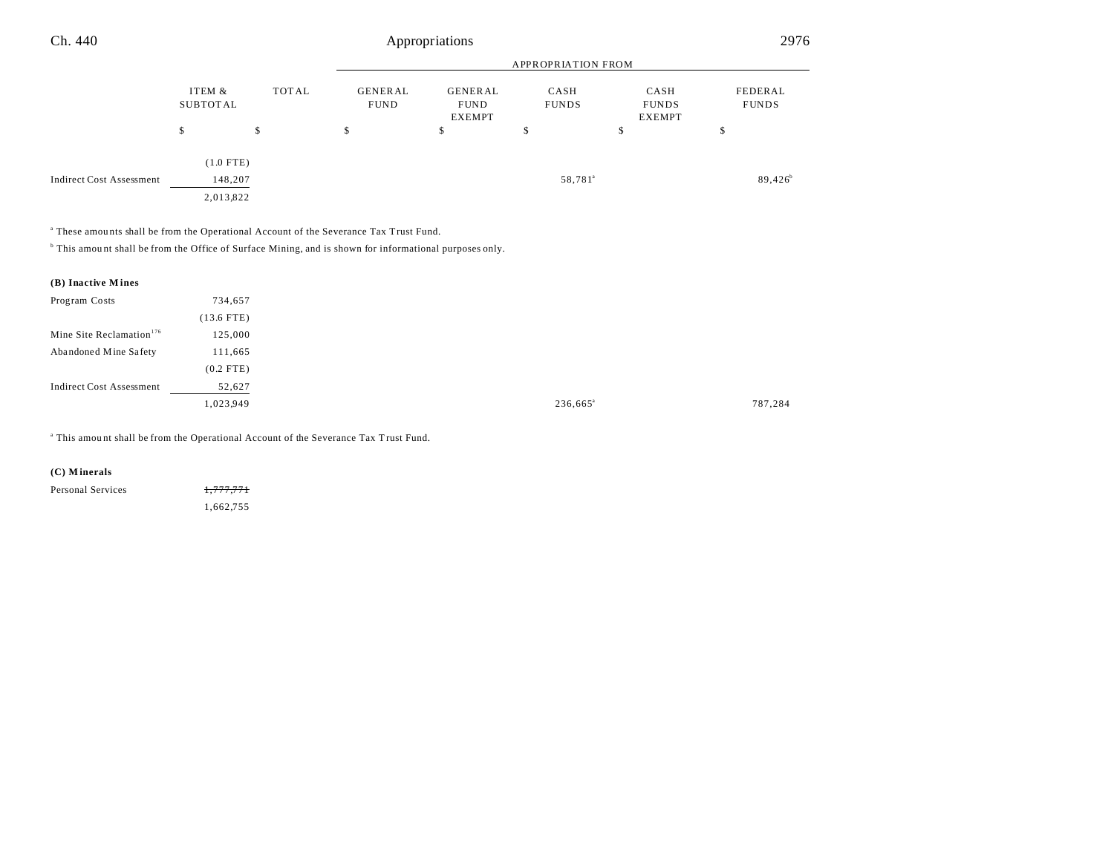#### APPROPRIATION FROM ITEM & SUBTOT AL TOT AL GENER AL FUND GENER AL FUND EXEMPT CASH FUNDS CASH FUNDS EXEMPT FEDERAL FUNDS  $\begin{array}{ccccccccccc} \text{\$} & & & \text{\$} & & \text{\$} & & \text{\$} & \text{\$} & \text{\$} & \text{\$} & \text{\$} & \text{\$} & \text{\$} & \text{\$} & \text{\$} & \text{\$} & \text{\$} & \text{\$} & \text{\$} & \text{\$} & \text{\$} & \text{\$} & \text{\$} & \text{\$} & \text{\$} & \text{\$} & \text{\$} & \text{\$} & \text{\$} & \text{\$} & \text{\$} & \text{\$} & \text{\$} & \text{\$} & \text{\$} & \text{\$} & \text{\$} & \text{\$ Ch. 440 Appropriations 2976

(1.0 FTE) Indirect Cost Assessment 148,207 58,781<sup>a</sup>  $89,426^b$ 2,013,822

a These amou nts shall be from the Operational Account of the Severance Tax Trust Fund.

<sup>b</sup> This amount shall be from the Office of Surface Mining, and is shown for informational purposes only.

| (B) Inactive Mines                   |              |
|--------------------------------------|--------------|
| Program Costs                        | 734,657      |
|                                      | $(13.6$ FTE) |
| Mine Site Reclamation <sup>176</sup> | 125,000      |
| Abandoned Mine Safety                | 111,665      |
|                                      | $(0.2$ FTE)  |
| <b>Indirect Cost Assessment</b>      | 52,627       |
|                                      | 1,023,949    |

<sup>a</sup> This amount shall be from the Operational Account of the Severance Tax Trust Fund.

#### **(C) M inerals**

| Personal Services | 1,777,771 |
|-------------------|-----------|
|                   | 1,662,755 |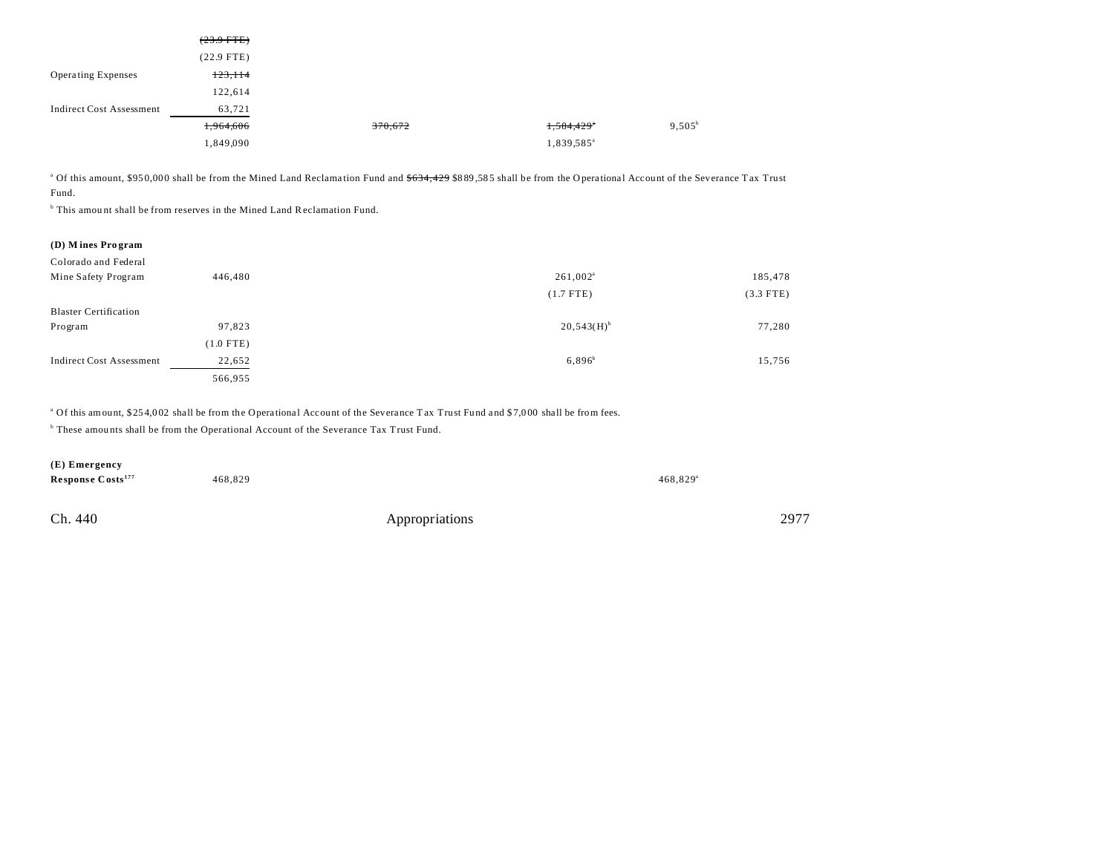|                                 | $(23.9$ FTE) |         |                        |                 |
|---------------------------------|--------------|---------|------------------------|-----------------|
|                                 | $(22.9$ FTE) |         |                        |                 |
| <b>Operating Expenses</b>       | 123,114      |         |                        |                 |
|                                 | 122,614      |         |                        |                 |
| <b>Indirect Cost Assessment</b> | 63,721       |         |                        |                 |
|                                 | 1,964,606    | 370,672 | 1,584,429*             | $9,505^{\rm b}$ |
|                                 | 1,849,090    |         | 1,839,585 <sup>a</sup> |                 |

<sup>a</sup> Of this amount, \$950,000 shall be from the Mined Land Reclamation Fund and <del>\$634,429</del> \$889,585 shall be from the Operational Account of the Severance Tax Trust Fund.

<sup>b</sup> This amount shall be from reserves in the Mined Land Reclamation Fund.

| (D) Mines Program               |             |                          |             |
|---------------------------------|-------------|--------------------------|-------------|
| Colorado and Federal            |             |                          |             |
| Mine Safety Program             | 446,480     | $261,002^a$              | 185,478     |
|                                 |             | $(1.7$ FTE)              | $(3.3$ FTE) |
| <b>Blaster Certification</b>    |             |                          |             |
| Program                         | 97,823      | $20,543(H)$ <sup>b</sup> | 77,280      |
|                                 | $(1.0$ FTE) |                          |             |
| <b>Indirect Cost Assessment</b> | 22,652      | $6,896^{b}$              | 15,756      |
|                                 | 566,955     |                          |             |
|                                 |             |                          |             |

<sup>a</sup> Of this amount, \$254,002 shall be from the Operational Account of the Severance Tax Trust Fund and \$7,000 shall be from fees.

<sup>b</sup> These amounts shall be from the Operational Account of the Severance Tax Trust Fund.

| (E) Emergency                 |         |                |                        |      |
|-------------------------------|---------|----------------|------------------------|------|
| Response Costs <sup>177</sup> | 468,829 |                | $468.829$ <sup>a</sup> |      |
|                               |         |                |                        |      |
| Ch. 440                       |         | Appropriations |                        | 2977 |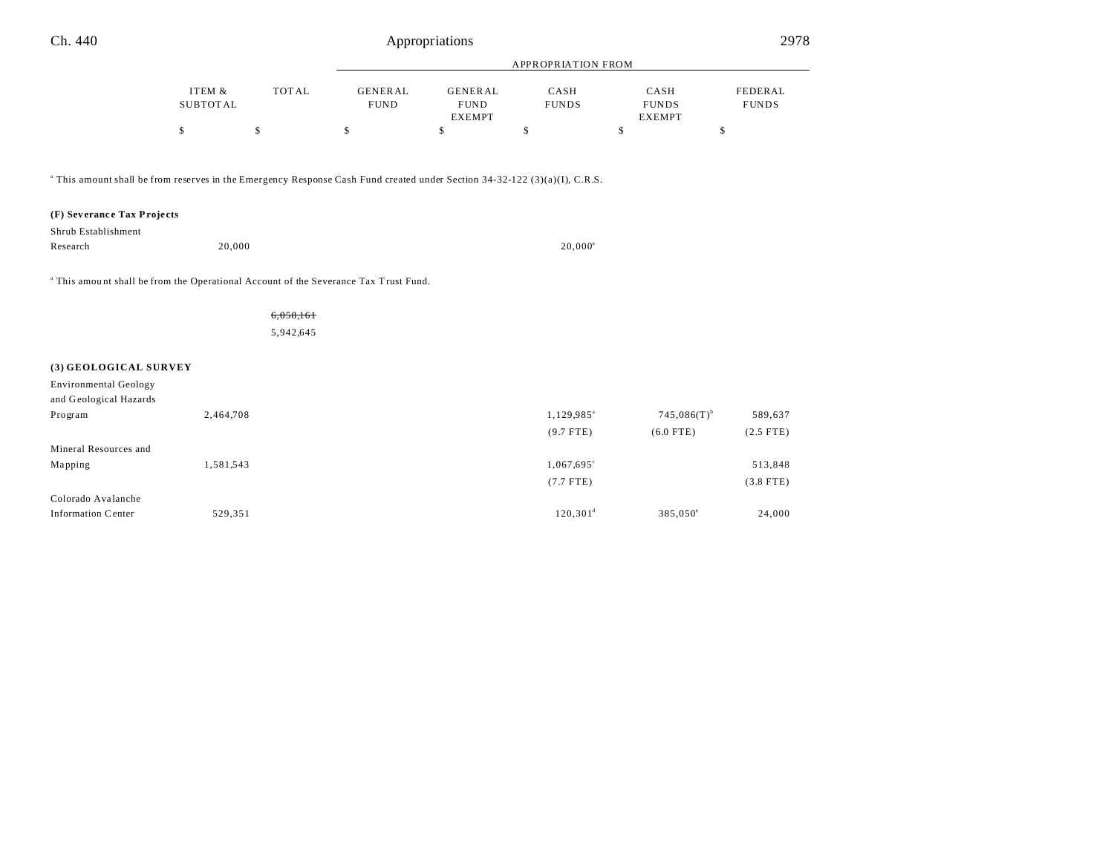| Ch. 440<br>Appropriations | 2978 |
|---------------------------|------|
|---------------------------|------|

|                                                                                                                                                |                    |       | APPROPRIATION FROM     |                                                |                      |                                       |                         |
|------------------------------------------------------------------------------------------------------------------------------------------------|--------------------|-------|------------------------|------------------------------------------------|----------------------|---------------------------------------|-------------------------|
|                                                                                                                                                | ITEM &<br>SUBTOTAL | TOTAL | GENERAL<br><b>FUND</b> | <b>GENERAL</b><br><b>FUND</b><br><b>EXEMPT</b> | CASH<br><b>FUNDS</b> | CASH<br><b>FUNDS</b><br><b>EXEMPT</b> | FEDERAL<br><b>FUNDS</b> |
|                                                                                                                                                |                    | Л.    | \$                     |                                                |                      |                                       | D                       |
| $\textsuperscript{4}$ This amount shall be from reserves in the Emergency Response Cash Fund created under Section 34-32-122 (3)(a)(I), C.R.S. |                    |       |                        |                                                |                      |                                       |                         |

**(F) Sev eranc e Tax Proje cts**

| Shrub Establishment |        |            |
|---------------------|--------|------------|
| Research            | 20,000 | $20.000^a$ |

<sup>a</sup> This amount shall be from the Operational Account of the Severance Tax Trust Fund.

6,058,161

5,942,645

#### **(3) GEOLOGICAL SURVEY**

| Environmental Geology  |           |                        |                           |             |
|------------------------|-----------|------------------------|---------------------------|-------------|
| and Geological Hazards |           |                        |                           |             |
| Program                | 2,464,708 | 1,129,985 <sup>a</sup> | $745,086(T)$ <sup>b</sup> | 589,637     |
|                        |           | $(9.7$ FTE)            | $(6.0$ FTE)               | $(2.5$ FTE) |
| Mineral Resources and  |           |                        |                           |             |
| Mapping                | 1,581,543 | $1,067,695^{\circ}$    |                           | 513,848     |
|                        |           | $(7.7$ FTE)            |                           | $(3.8$ FTE) |
| Colorado Avalanche     |           |                        |                           |             |
| Information Center     | 529,351   | $120.301^d$            | $385.050^{\circ}$         | 24,000      |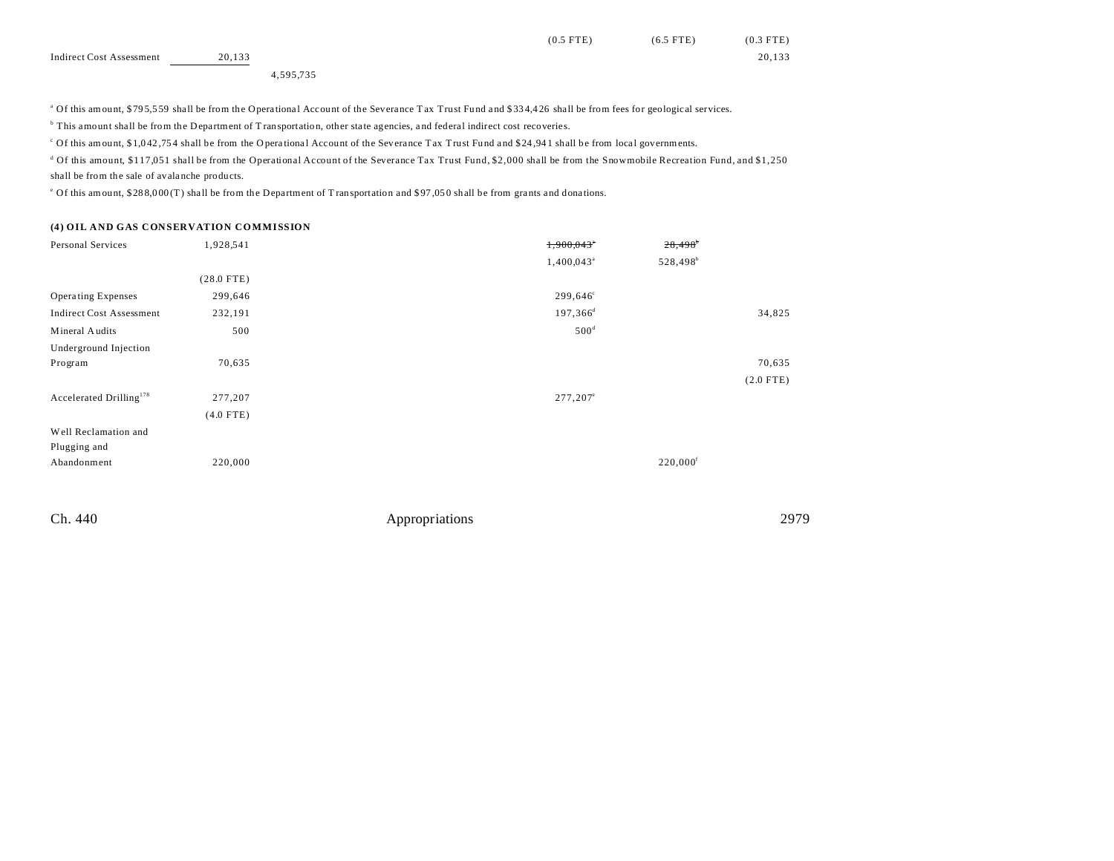|                          |        |           |  | $(0.5$ FTE) | $(6.5$ FTE) | $(0.3$ FTE) |
|--------------------------|--------|-----------|--|-------------|-------------|-------------|
| Indirect Cost Assessment | 20,133 |           |  |             |             | 20,133      |
|                          |        | 4,595,735 |  |             |             |             |

<sup>a</sup> Of this amount, \$795,559 shall be from the Operational Account of the Severance Tax Trust Fund and \$334,426 shall be from fees for geological services.

<sup>b</sup> This amount shall be from the Department of Transportation, other state agencies, and federal indirect cost recoveries.

Of this amount, \$1,042,754 shall be from the Operational Account of the Severance Tax Trust Fund and \$24,941 shall be from local governments.

d Of this amount, \$117,051 shall be from the Operational Account of the Severance Tax Trust Fund, \$2,000 shall be from the Snowmobile Recreation Fund, and \$1,250 shall be from the sale of avala nche products.

<sup>e</sup> Of this amount, \$288,000 (T) shall be from the Department of Transportation and \$97,050 shall be from grants and donations.

#### **(4) OIL AND GAS CONSERVATION COMMISSION**

| Personal Services                   | 1,928,541    | 1,900,043*               | $28,498$ <sup>b</sup>  |             |
|-------------------------------------|--------------|--------------------------|------------------------|-------------|
|                                     |              | $1,400,043$ <sup>a</sup> | 528,498 <sup>b</sup>   |             |
|                                     | $(28.0$ FTE) |                          |                        |             |
| <b>Operating Expenses</b>           | 299,646      | $299,646^{\circ}$        |                        |             |
| <b>Indirect Cost Assessment</b>     | 232,191      | 197,366 <sup>d</sup>     |                        | 34,825      |
| Mineral Audits                      | 500          | 500 <sup>d</sup>         |                        |             |
| Underground Injection               |              |                          |                        |             |
| Program                             | 70,635       |                          |                        | 70,635      |
|                                     |              |                          |                        | $(2.0$ FTE) |
| Accelerated Drilling <sup>178</sup> | 277,207      | $277,207^{\circ}$        |                        |             |
|                                     | $(4.0$ FTE)  |                          |                        |             |
| Well Reclamation and                |              |                          |                        |             |
| Plugging and                        |              |                          |                        |             |
| Abandonment                         | 220,000      |                          | $220,000$ <sup>f</sup> |             |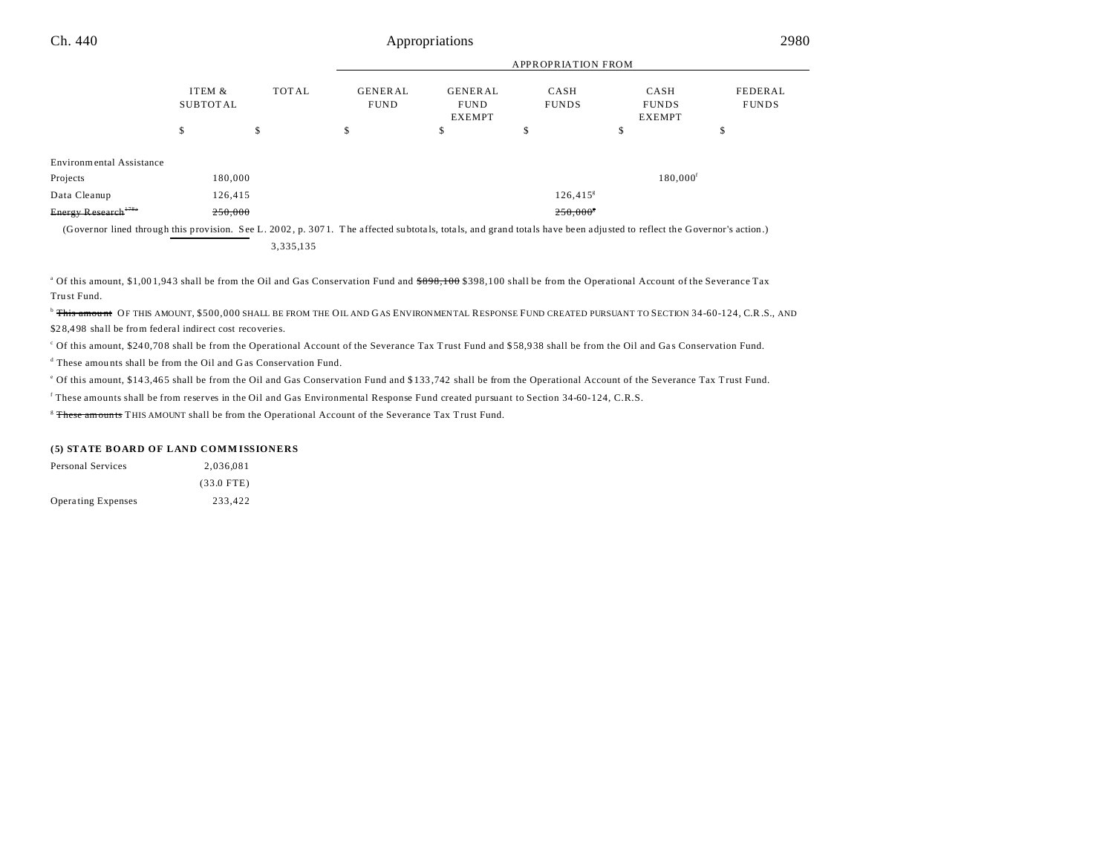| Ch. 440                         |                           |              |                               | Appropriations                                 |                           |                                       | 2980                    |
|---------------------------------|---------------------------|--------------|-------------------------------|------------------------------------------------|---------------------------|---------------------------------------|-------------------------|
|                                 |                           |              |                               |                                                | <b>APPROPRIATION FROM</b> |                                       |                         |
|                                 | ITEM &<br><b>SUBTOTAL</b> | <b>TOTAL</b> | <b>GENERAL</b><br><b>FUND</b> | <b>GENERAL</b><br><b>FUND</b><br><b>EXEMPT</b> | CASH<br><b>FUNDS</b>      | CASH<br><b>FUNDS</b><br><b>EXEMPT</b> | FEDERAL<br><b>FUNDS</b> |
|                                 | \$                        | \$           | \$                            | ъ                                              | \$                        | \$                                    | D                       |
| <b>Environmental Assistance</b> |                           |              |                               |                                                |                           |                                       |                         |
| Projects                        | 180,000                   |              |                               |                                                |                           | $180,000$ <sup>f</sup>                |                         |
| Data Cleanup                    | 126,415                   |              |                               |                                                | $126,415^s$               |                                       |                         |
| Energy Research <sup>178a</sup> | 250,000                   |              |                               |                                                | 250,000*                  |                                       |                         |

(Governor lined through this provision. See L. 20 02 , p. 307 1. T he a ffected su btota ls, tota ls, and grand tota ls have been adjusted to reflect the Governor's action.) 3,335,135

<sup>a</sup> Of this amount, \$1,001,943 shall be from the Oil and Gas Conservation Fund and <del>\$898,100</del> \$398,100 shall be from the Operational Account of the Severance Tax Tru st Fund.

<sup>b</sup> This amount OF THIS AMOUNT, \$500,000 SHALL BE FROM THE OIL AND GAS ENVIRONMENTAL RESPONSE FUND CREATED PURSUANT TO SECTION 34-60-124, C.R.S., AND \$28,498 shall be from federal indirect cost recoveries.

Of this amount, \$240,708 shall be from the Operational Account of the Severance Tax Trust Fund and \$58,938 shall be from the Oil and Gas Conservation Fund.

d These amou nts shall be from the Oil and Gas Conservation Fund.

e Of this amount, \$14 3,46 5 shall be from the Oil and Gas Conservation Fund and \$ 133 ,742 shall be from the Operational Account of the Severance Tax Trust Fund.

f These amounts shall be from reserves in the Oil and Gas Environmental Response Fund created pursuant to Section 34-60-124, C.R.S.

<sup>8</sup> These amounts THIS AMOUNT shall be from the Operational Account of the Severance Tax Trust Fund.

#### **(5) STATE BOARD OF LAND COMM ISSIONERS**

| Personal Services  | 2.036.081    |
|--------------------|--------------|
|                    | $(33.0$ FTE) |
| Operating Expenses | 233.422      |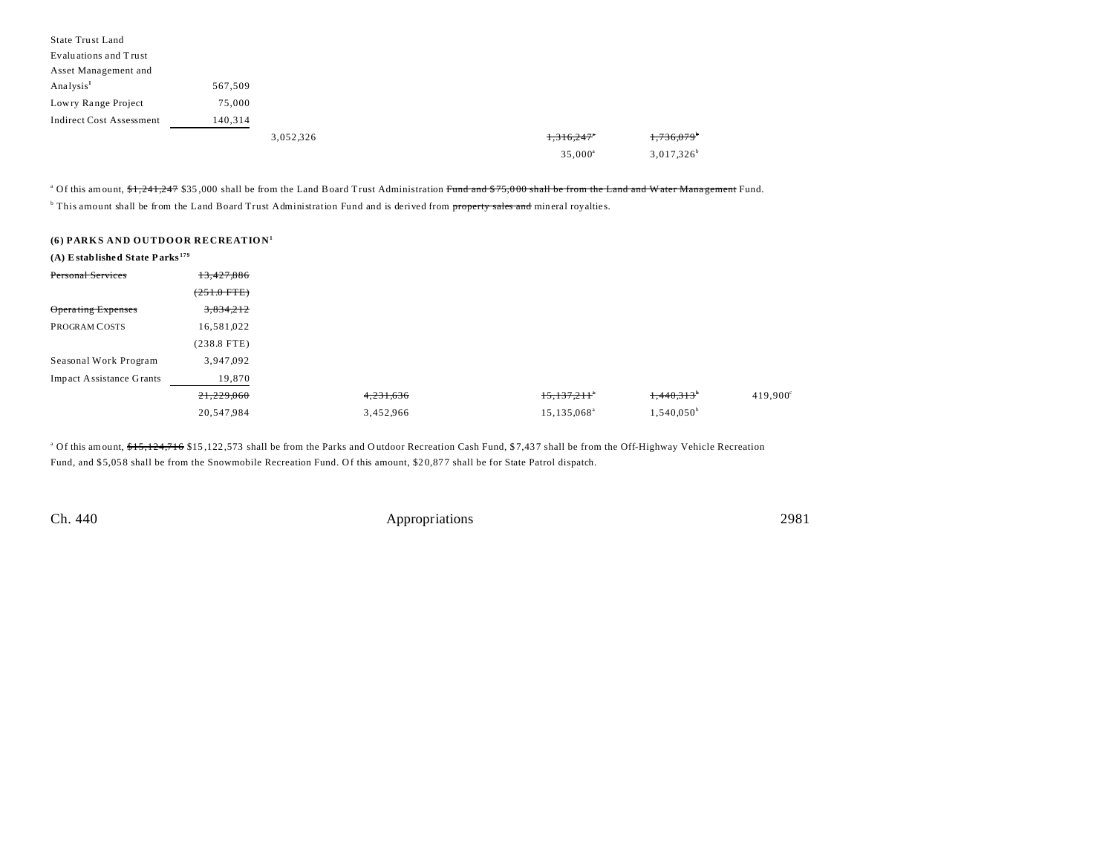| State Trust Land                |         |           |                  |               |
|---------------------------------|---------|-----------|------------------|---------------|
| Evaluations and Trust           |         |           |                  |               |
| Asset Management and            |         |           |                  |               |
| Analysis <sup>1</sup>           | 567,509 |           |                  |               |
| Lowry Range Project             | 75,000  |           |                  |               |
| <b>Indirect Cost Assessment</b> | 140,314 |           |                  |               |
|                                 |         | 3,052,326 | 1,316,247"       | 1,736,079     |
|                                 |         |           | $35,000^{\circ}$ | $3,017,326^b$ |

<sup>a</sup> Of this amount, <del>\$1,241,247</del> \$35,000 shall be from the Land Board Trust Administration <del>Fund and \$75,000 shall be from the Land and W ater Management</del> Fund.

<sup>b</sup> This amount shall be from the Land Board Trust Administration Fund and is derived from property sales and mineral royalties.

|  |  |  | (6) PARKS AND OUTDOOR RECREATION <sup>1</sup> |
|--|--|--|-----------------------------------------------|
|--|--|--|-----------------------------------------------|

| $(A)$ Established State Parks <sup>179</sup> |                       |           |                         |                     |
|----------------------------------------------|-----------------------|-----------|-------------------------|---------------------|
| <b>Personal Services</b>                     | 13,427,886            |           |                         |                     |
|                                              | $(251.0 \text{ FTE})$ |           |                         |                     |
| <b>Operating Expenses</b>                    | 3,834,212             |           |                         |                     |
| PROGRAM COSTS                                | 16,581,022            |           |                         |                     |
|                                              | $(238.8$ FTE)         |           |                         |                     |
| Seasonal Work Program                        | 3,947,092             |           |                         |                     |
| <b>Impact Assistance Grants</b>              | 19,870                |           |                         |                     |
|                                              | 21,229,060            | 4,231,636 | 15,137,211              | 1,440,313           |
|                                              | 20,547,984            | 3,452,966 | 15,135,068 <sup>a</sup> | $1,540,050^{\circ}$ |

<sup>a</sup> Of this amount, \$<del>15,124,716</del> \$15,122,573 shall be from the Parks and Outdoor Recreation Cash Fund, \$7,437 shall be from the Off-Highway Vehicle Recreation Fund, and \$ 5,05 8 shall be from the Snowmobile Recreation Fund. Of this amount, \$2 0,87 7 shall be for State Patrol dispatch.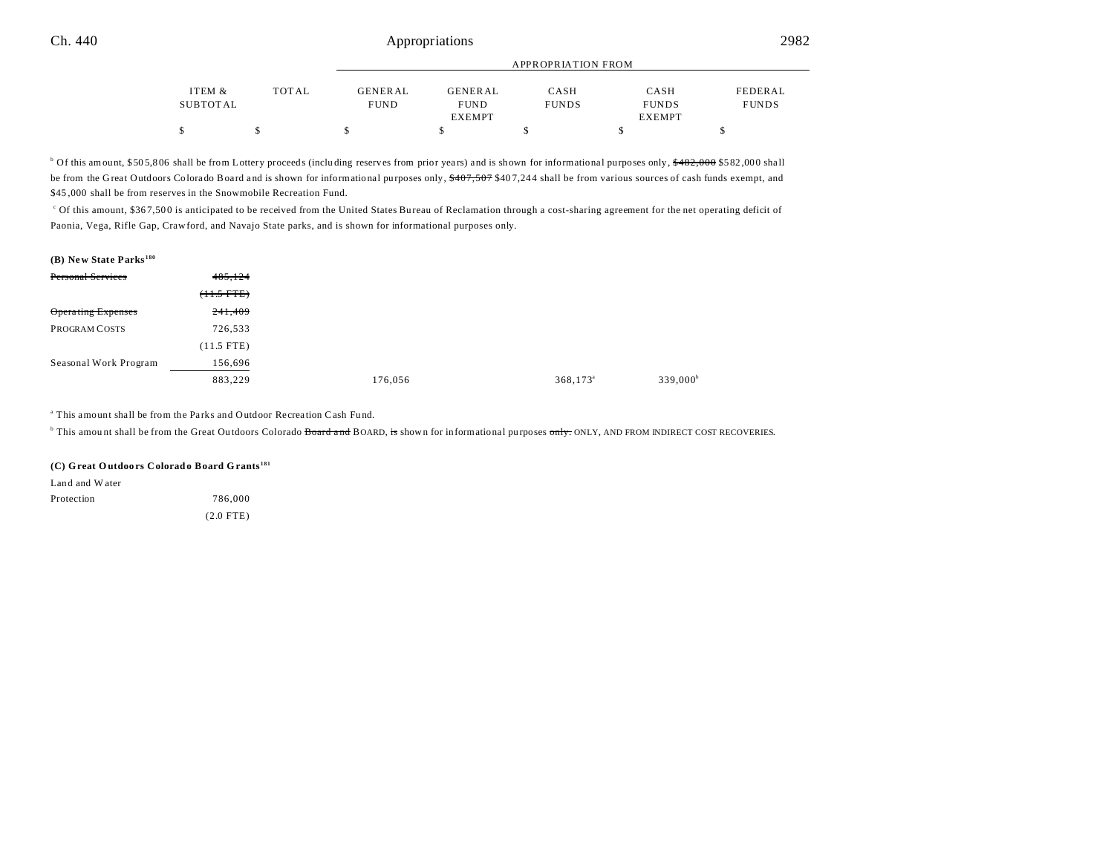|          |       |             | APPROPRIATION FROM |              |               |              |  |
|----------|-------|-------------|--------------------|--------------|---------------|--------------|--|
| ITEM &   | TOTAL | GENERAL     | <b>GENERAL</b>     | CASH         | CASH          | FEDERAL      |  |
| SUBTOTAL |       | <b>FUND</b> | <b>FUND</b>        | <b>FUNDS</b> | <b>FUNDS</b>  | <b>FUNDS</b> |  |
|          |       |             | <b>EXEMPT</b>      |              | <b>EXEMPT</b> |              |  |
|          |       |             |                    |              |               |              |  |

<sup>b</sup> Of this amount, \$505,806 shall be from Lottery proceeds (including reserves from prior years) and is shown for informational purposes only, <del>\$482,000</del> \$582,000 shall be from the Great Outdoors Colorado Board and is shown for informational purposes only, \$407,507 \$407,244 shall be from various sources of cash funds exempt, and \$45,000 shall be from reserves in the Snowmobile Recreation Fund.

<sup>c</sup> Of this amount, \$367,500 is anticipated to be received from the United States Bureau of Reclamation through a cost-sharing agreement for the net operating deficit of Paonia, Vega, Rifle Gap, Crawford, and Navajo State parks, and is shown for informational purposes only.

## **(B) New State Parks <sup>180</sup>**

| Personal Services     | 485,124         |         |                   |
|-----------------------|-----------------|---------|-------------------|
|                       | $(+1.5$ FTE $)$ |         |                   |
| Operating Expenses    | 241,409         |         |                   |
| PROGRAM COSTS         | 726,533         |         |                   |
|                       | $(11.5$ FTE)    |         |                   |
| Seasonal Work Program | 156,696         |         |                   |
|                       | 883,229         | 176,056 | $368,173^{\circ}$ |

<sup>a</sup> This amount shall be from the Parks and Outdoor Recreation Cash Fund.

<sup>b</sup> This amount shall be from the Great Outdoors Colorado <del>Board and</del> BOARD, <del>is</del> shown for informational purposes <del>only.</del> ONLY, AND FROM INDIRECT COST RECOVERIES.

#### **(C) Great O utdoo rs Colorado Board Grants <sup>181</sup>**

Land and W ater Protection 786,000

(2.0 FTE)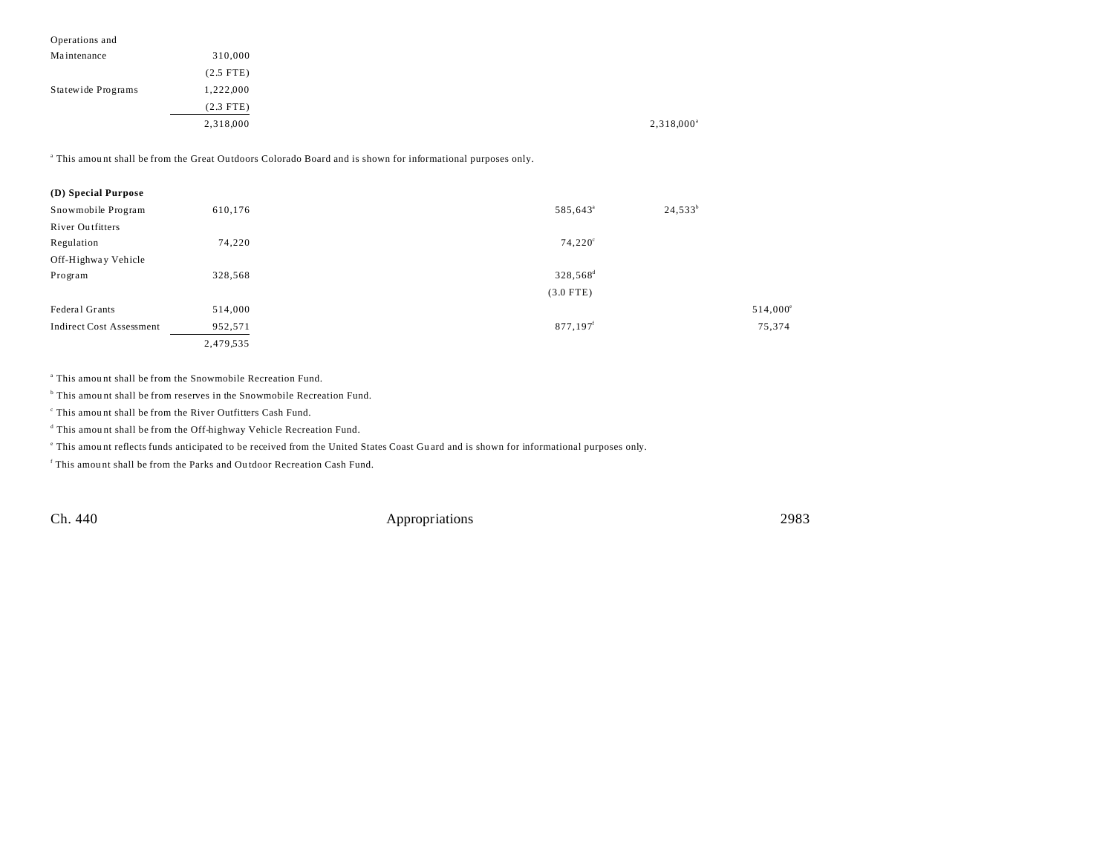| Operations and     |             |           |
|--------------------|-------------|-----------|
| Maintenance        | 310,000     |           |
|                    | $(2.5$ FTE) |           |
| Statewide Programs | 1,222,000   |           |
|                    | $(2.3$ FTE) |           |
|                    | 2,318,000   | 2,318,000 |

a This amou nt shall be from the Great Ou tdoors Colorado Board and is shown for informational purposes only.

| (D) Special Purpose             |           |                        |                   |
|---------------------------------|-----------|------------------------|-------------------|
| Snowmobile Program              | 610,176   | 585,643 <sup>a</sup>   | $24,533^b$        |
| <b>River Outfitters</b>         |           |                        |                   |
| Regulation                      | 74.220    | $74,220^{\circ}$       |                   |
| Off-Highway Vehicle             |           |                        |                   |
| Program                         | 328,568   | 328,568 <sup>d</sup>   |                   |
|                                 |           | $(3.0$ FTE)            |                   |
| Federal Grants                  | 514,000   |                        | $514,000^{\circ}$ |
| <b>Indirect Cost Assessment</b> | 952,571   | $877,197$ <sup>f</sup> | 75,374            |
|                                 | 2,479,535 |                        |                   |
|                                 |           |                        |                   |

a This amou nt shall be from the Snowmobile Recreation Fund.

<sup>b</sup> This amount shall be from reserves in the Snowmobile Recreation Fund.

c This amou nt shall be from the River Outfitters Cash Fund.

<sup>d</sup> This amount shall be from the Off-highway Vehicle Recreation Fund.

e This amou nt reflects funds anticipated to be received from the United States Coast Gu ard and is shown for informational purposes only.

f This amou nt shall be from the Parks and Ou tdoor Recreation Cash Fund.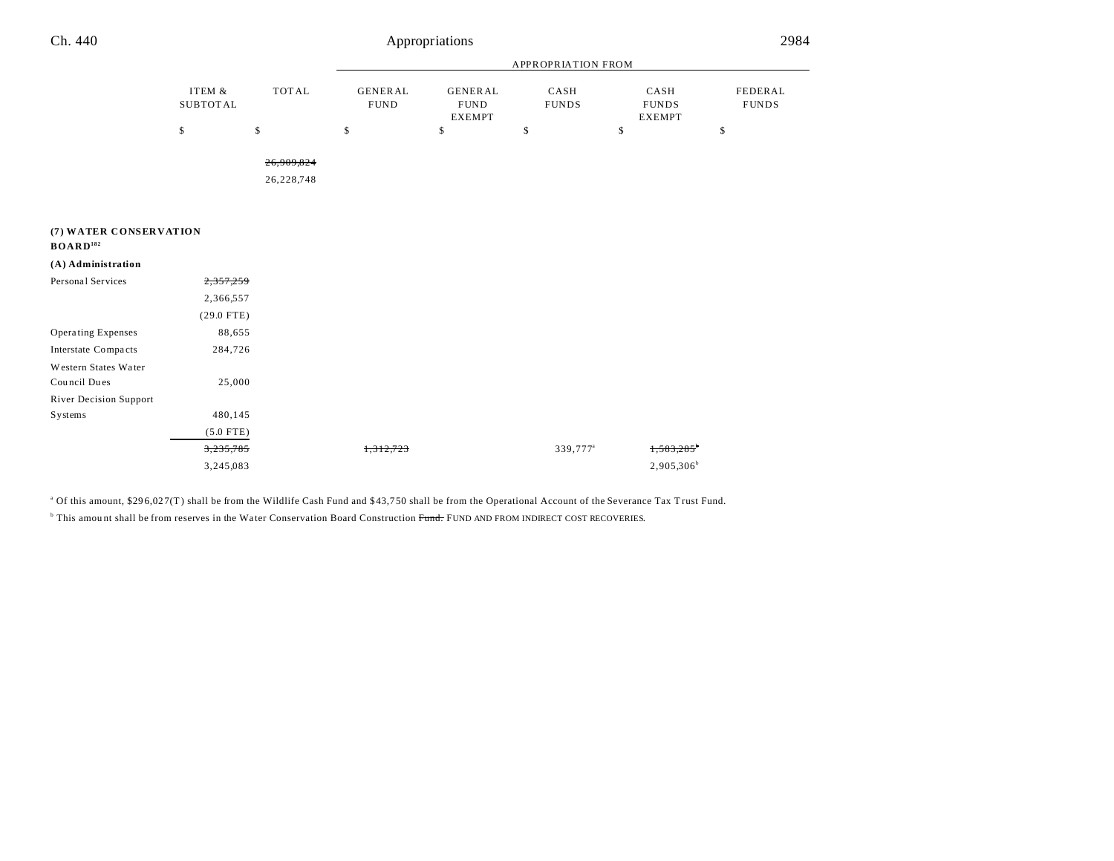| Ch. 440                                        |                           |                          |                               | Appropriations                                 |                      |                                       | 2984                    |
|------------------------------------------------|---------------------------|--------------------------|-------------------------------|------------------------------------------------|----------------------|---------------------------------------|-------------------------|
|                                                |                           |                          |                               | <b>APPROPRIATION FROM</b>                      |                      |                                       |                         |
|                                                | ITEM &<br><b>SUBTOTAL</b> | <b>TOTAL</b>             | <b>GENERAL</b><br><b>FUND</b> | <b>GENERAL</b><br><b>FUND</b><br><b>EXEMPT</b> | CASH<br><b>FUNDS</b> | CASH<br><b>FUNDS</b><br><b>EXEMPT</b> | FEDERAL<br><b>FUNDS</b> |
|                                                | \$                        | \$                       | \$                            | \$                                             | \$                   | \$                                    | \$                      |
|                                                |                           | 26,909,824<br>26,228,748 |                               |                                                |                      |                                       |                         |
| (7) WATER CONSERVATION<br>BOARD <sup>182</sup> |                           |                          |                               |                                                |                      |                                       |                         |
| (A) Administration                             |                           |                          |                               |                                                |                      |                                       |                         |
| Personal Services                              | 2,357,259                 |                          |                               |                                                |                      |                                       |                         |
|                                                | 2,366,557                 |                          |                               |                                                |                      |                                       |                         |
|                                                | $(29.0$ FTE)              |                          |                               |                                                |                      |                                       |                         |
| <b>Operating Expenses</b>                      | 88,655                    |                          |                               |                                                |                      |                                       |                         |
| Interstate Compacts                            | 284,726                   |                          |                               |                                                |                      |                                       |                         |
| Western States Water                           |                           |                          |                               |                                                |                      |                                       |                         |
| Council Dues                                   | 25,000                    |                          |                               |                                                |                      |                                       |                         |
| <b>River Decision Support</b>                  |                           |                          |                               |                                                |                      |                                       |                         |
| Systems                                        | 480,145                   |                          |                               |                                                |                      |                                       |                         |
|                                                | $(5.0$ FTE)               |                          |                               |                                                |                      |                                       |                         |
|                                                | 3,235,785                 |                          | 1,312,723                     |                                                | 339,777 <sup>a</sup> |                                       |                         |
|                                                | 3,245,083                 |                          |                               |                                                |                      | $2,905,306^b$                         |                         |

÷,

<sup>a</sup> Of this amount, \$296,027(T) shall be from the Wildlife Cash Fund and \$43,750 shall be from the Operational Account of the Severance Tax Trust Fund.

 $^{\circ}$  This amount shall be from reserves in the Water Conservation Board Construction <del>Fund.</del> FUND AND FROM INDIRECT COST RECOVERIES.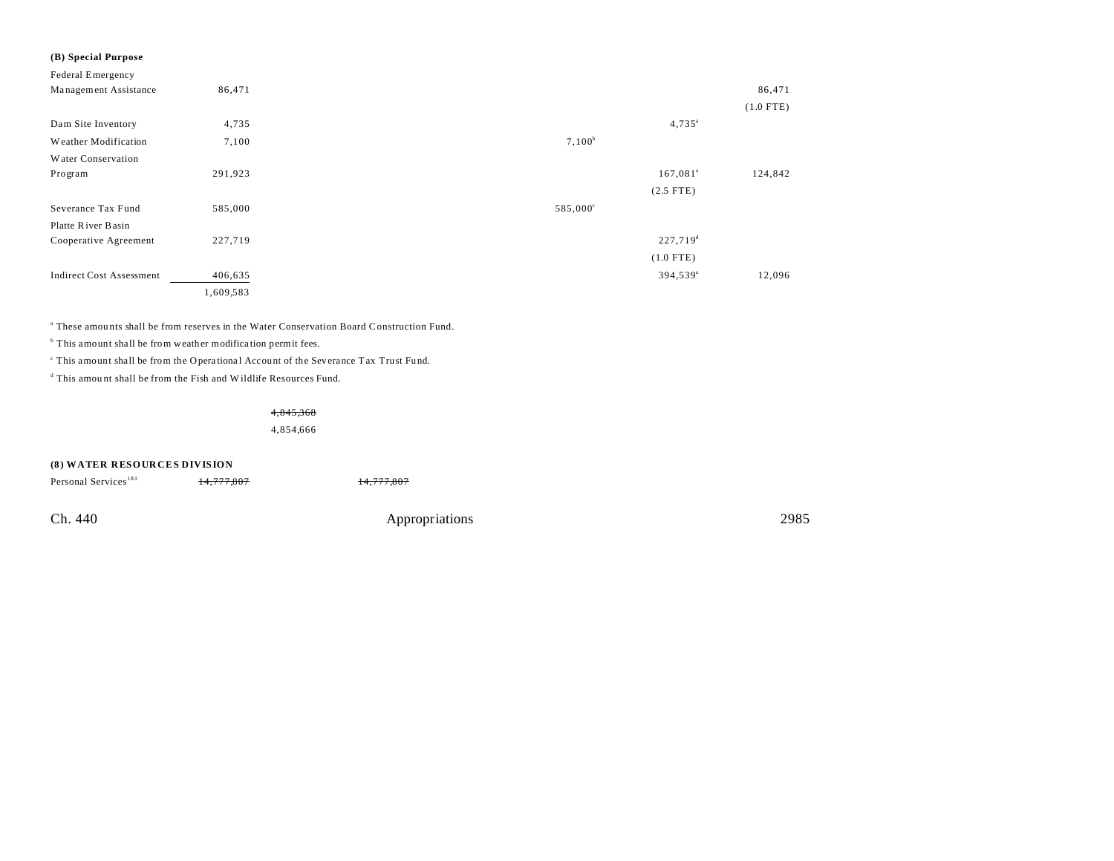| (B) Special Purpose             |           |                      |             |
|---------------------------------|-----------|----------------------|-------------|
| Federal Emergency               |           |                      |             |
| Management Assistance           | 86,471    |                      | 86,471      |
|                                 |           |                      | $(1.0$ FTE) |
| Dam Site Inventory              | 4,735     | $4,735^{\circ}$      |             |
| Weather Modification            | 7,100     | $7,100^b$            |             |
| Water Conservation              |           |                      |             |
| Program                         | 291,923   | $167,081^{\circ}$    | 124,842     |
|                                 |           | $(2.5$ FTE)          |             |
| Severance Tax Fund              | 585,000   | $585,000^{\circ}$    |             |
| Platte River Basin              |           |                      |             |
| Cooperative Agreement           | 227,719   | $227,719^d$          |             |
|                                 |           | $(1.0$ FTE)          |             |
| <b>Indirect Cost Assessment</b> | 406,635   | 394,539 <sup>a</sup> | 12,096      |
|                                 | 1,609,583 |                      |             |

a These amou nts shall be from reserves in the Water Conservation Board Construction Fund.

<sup>b</sup> This amount shall be from weather modification permit fees.

<sup>c</sup> This amount shall be from the Operational Account of the Severance Tax Trust Fund.

d This amou nt shall be from the Fish and Wildlife Resources Fund.

4,845,368

4,854,666

#### **(8) WATER RESOURCES DIVISION**

| Personal Services <sup>183</sup> | <del>14,777,807</del> | 14,777,807     |      |
|----------------------------------|-----------------------|----------------|------|
| Ch. 440                          |                       |                | 2985 |
|                                  |                       | Appropriations |      |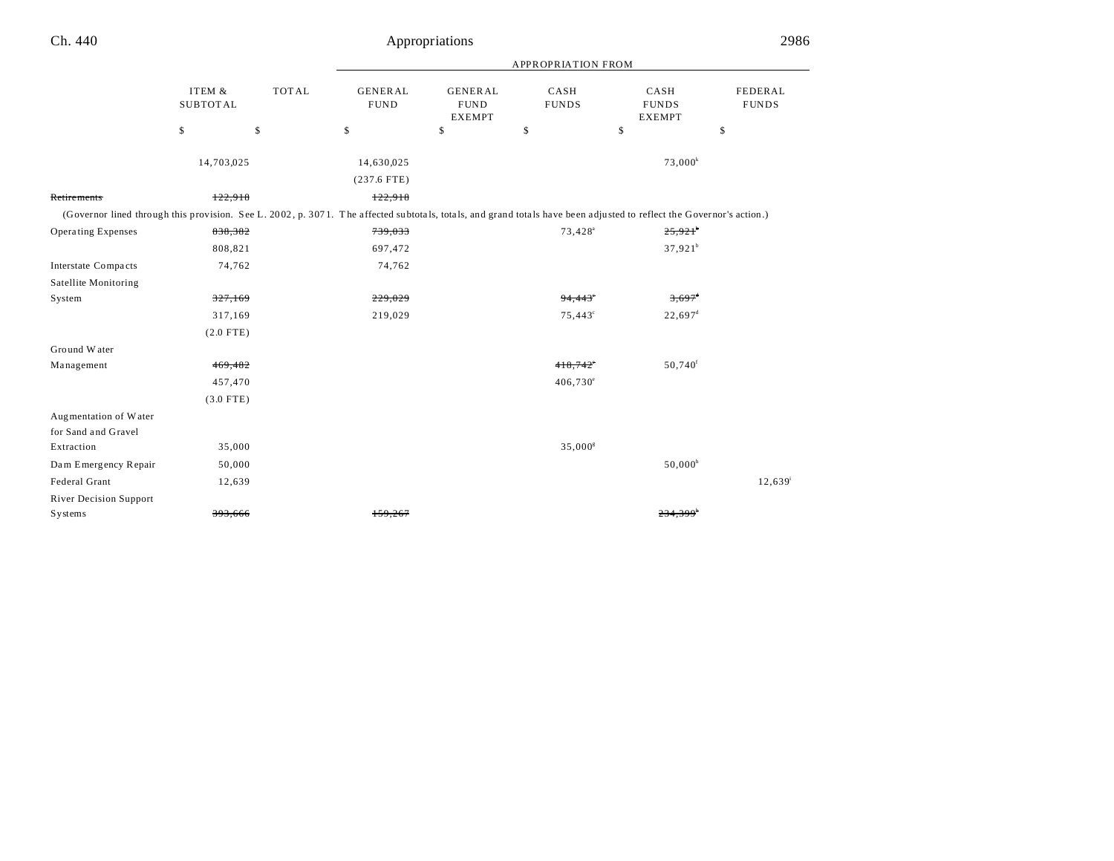Retirements

Operating Expenses

Ground W ater Management

Dam Emergency Repair

River Decision Support

## Ch. 440 Appropriations 2986

|                                                                                                                                                                      |                           |              |                               |                                                | <b>APPROPRIATION FROM</b> |                                       |                         |
|----------------------------------------------------------------------------------------------------------------------------------------------------------------------|---------------------------|--------------|-------------------------------|------------------------------------------------|---------------------------|---------------------------------------|-------------------------|
|                                                                                                                                                                      | ITEM &<br><b>SUBTOTAL</b> | <b>TOTAL</b> | <b>GENERAL</b><br><b>FUND</b> | <b>GENERAL</b><br><b>FUND</b><br><b>EXEMPT</b> | CASH<br><b>FUNDS</b>      | CASH<br><b>FUNDS</b><br><b>EXEMPT</b> | FEDERAL<br><b>FUNDS</b> |
|                                                                                                                                                                      | \$                        | \$           | \$                            | \$                                             | \$                        | \$                                    | \$                      |
|                                                                                                                                                                      | 14,703,025                |              | 14,630,025                    |                                                |                           | $73,000^k$                            |                         |
|                                                                                                                                                                      |                           |              | $(237.6$ FTE)                 |                                                |                           |                                       |                         |
| Retire ments                                                                                                                                                         | 122,918                   |              | 122,918                       |                                                |                           |                                       |                         |
| (Governor lined through this provision. See L. 2002, p. 3071. The affected subtotals, totals, and grand totals have been adjusted to reflect the Governor's action.) |                           |              |                               |                                                |                           |                                       |                         |
| <b>Operating Expenses</b>                                                                                                                                            | 838,382                   |              | 739,033                       |                                                | $73,428^{\circ}$          | $25,921$ <sup>b</sup>                 |                         |
|                                                                                                                                                                      | 808,821                   |              | 697,472                       |                                                |                           | $37,921^b$                            |                         |
| Interstate Compacts                                                                                                                                                  | 74,762                    |              | 74,762                        |                                                |                           |                                       |                         |
| Satellite Monitoring                                                                                                                                                 |                           |              |                               |                                                |                           |                                       |                         |
| System                                                                                                                                                               | 327,169                   |              | 229,029                       |                                                | 94,443                    | $3,697$ <sup>d</sup>                  |                         |
|                                                                                                                                                                      | 317,169                   |              | 219,029                       |                                                | $75,443^{\circ}$          | $22,697^{\rm d}$                      |                         |
|                                                                                                                                                                      | $(2.0$ FTE)               |              |                               |                                                |                           |                                       |                         |
| Ground Water                                                                                                                                                         |                           |              |                               |                                                |                           |                                       |                         |
| Management                                                                                                                                                           | 469,482                   |              |                               |                                                | 418,742                   | 50,740 <sup>f</sup>                   |                         |
|                                                                                                                                                                      | 457,470                   |              |                               |                                                | $406,730^{\circ}$         |                                       |                         |
|                                                                                                                                                                      | $(3.0$ FTE)               |              |                               |                                                |                           |                                       |                         |
| Augmentation of Water                                                                                                                                                |                           |              |                               |                                                |                           |                                       |                         |
| for Sand and Gravel                                                                                                                                                  |                           |              |                               |                                                |                           |                                       |                         |
| Extraction                                                                                                                                                           | 35,000                    |              |                               |                                                | 35,000 <sup>8</sup>       |                                       |                         |
| Dam Emergency Repair                                                                                                                                                 | 50,000                    |              |                               |                                                |                           | $50,000^h$                            |                         |
| Federal Grant                                                                                                                                                        | 12,639                    |              |                               |                                                |                           |                                       | 12,639                  |

Systems 393,666 393,666 159,267 234,399h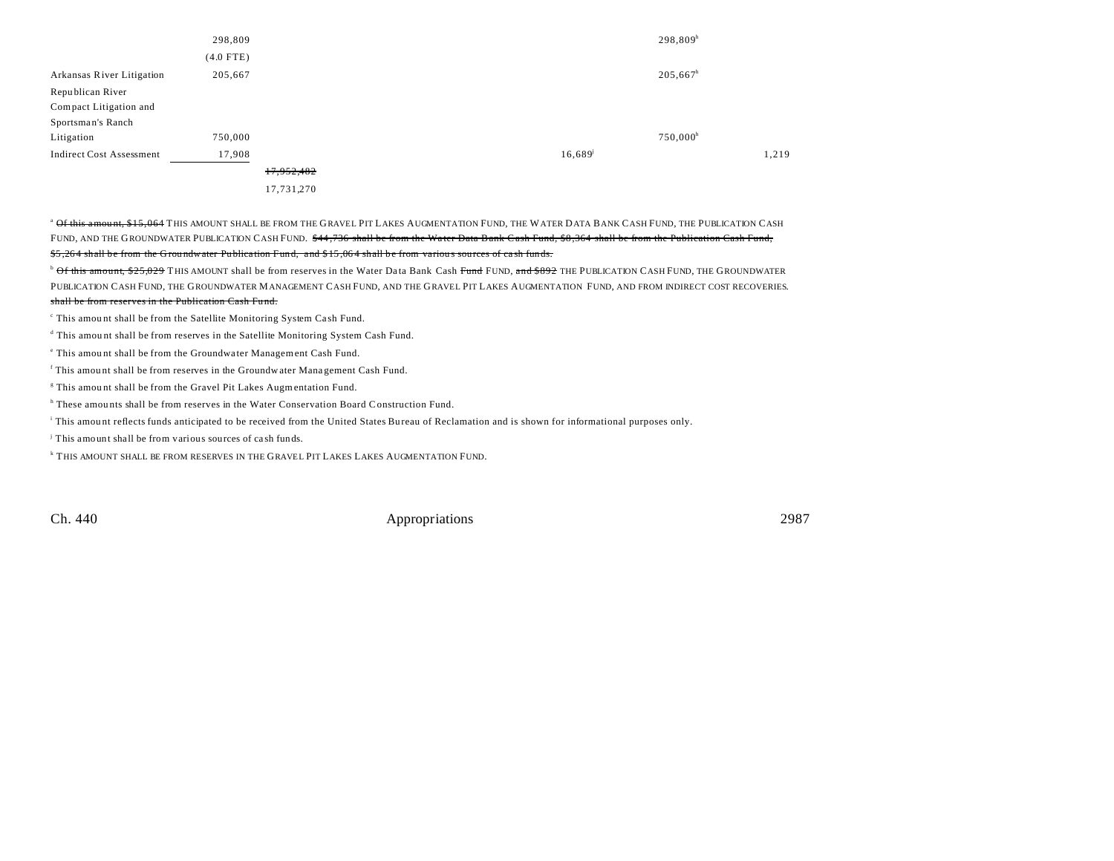|                                 | 298,809     |            |                       | 298,809 <sup>h</sup> |       |
|---------------------------------|-------------|------------|-----------------------|----------------------|-------|
|                                 | $(4.0$ FTE) |            |                       |                      |       |
| Arkansas River Litigation       | 205,667     |            |                       | $205,667^h$          |       |
| Republican River                |             |            |                       |                      |       |
| Compact Litigation and          |             |            |                       |                      |       |
| Sportsman's Ranch               |             |            |                       |                      |       |
| Litigation                      | 750,000     |            |                       | $750,000^h$          |       |
| <b>Indirect Cost Assessment</b> | 17,908      |            | $16,689$ <sup>j</sup> |                      | 1,219 |
|                                 |             | 17,952,482 |                       |                      |       |
|                                 |             | 17,731,270 |                       |                      |       |

<sup>a</sup> Of this amount, \$15,064 THIS AMOUNT SHALL BE FROM THE GRAVEL PIT LAKES AUGMENTATION FUND, THE WATER DATA BANK CASH FUND, THE PUBLICATION CASH FUND, AND THE GROUNDWATER PUBLICATION CASH FUND. \$44.736 shall be from the Water Data Bank Cash Fund, \$8,364 shall be from the Publication Cash Fund, \$5,264 shall be from the Groundwater Publication Fund, and \$15,064 shall be from various sources of cash funds.

<sup>b</sup> Of this amount, \$25,029 THIS AMOUNT shall be from reserves in the Water Data Bank Cash Fund FUND, and \$892 THE PUBLICATION CASH FUND, THE GROUNDWATER PUBLICATION CASH FUND, THE GROUNDWATER MANAGEMENT CASH FUND, AND THE GRAVEL PIT LAKES AUGMENTATION FUND, AND FROM INDIRECT COST RECOVERIES. shall be from reserves in the Publication Cash Fu nd.

<sup>c</sup> This amount shall be from the Satellite Monitoring System Cash Fund.

d This amount shall be from reserves in the Satellite Monitoring System Cash Fund.

e This amou nt shall be from the Groundwa ter Management Cash Fund.

f This amou nt shall be from reserves in the Groundwater Mana gement Cash Fund.

<sup>8</sup> This amount shall be from the Gravel Pit Lakes Augmentation Fund.

<sup>h</sup> These amounts shall be from reserves in the Water Conservation Board Construction Fund.

i This amou nt reflects funds anticipated to be received from the United States Bu reau of Reclamation and is shown for informational purposes only.

j This amount shall be from various sources of ca sh funds.

k THIS AMOUNT SHALL BE FROM RESERVES IN THE GRAVEL PIT LAKES LAKES AUGMENTATION FUND.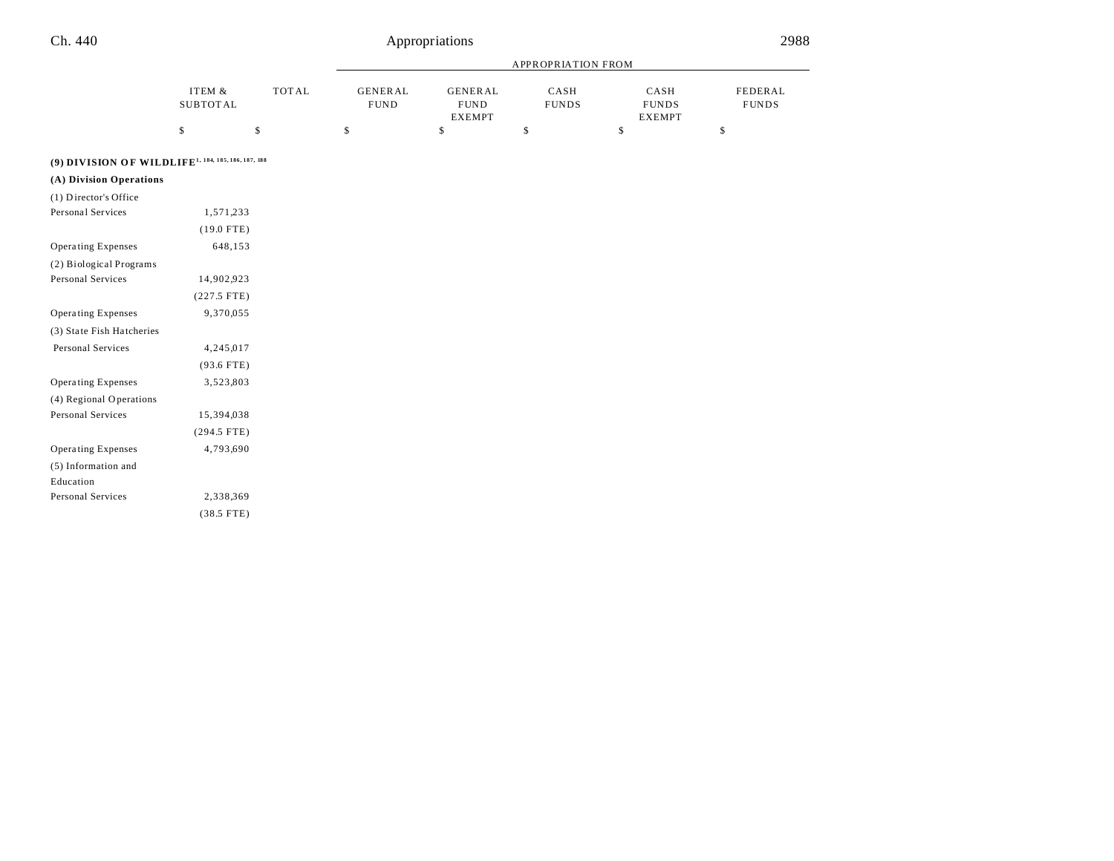Operating Expenses 3,523,803

Personal Services 15,394,038

Operating Expenses 4,793,690

Personal Services 2,338,369

(294.5 FTE)

(38.5 FTE)

(4) Regional Operations

(5) Information and Education

|                                                                |                           |    | <b>APPROPRIATION FROM</b>     |                                         |                      |                                |                         |
|----------------------------------------------------------------|---------------------------|----|-------------------------------|-----------------------------------------|----------------------|--------------------------------|-------------------------|
|                                                                | ITEM &<br><b>SUBTOTAL</b> |    | <b>GENERAL</b><br><b>FUND</b> | <b>GENERAL</b><br><b>FUND</b><br>EXEMPT | CASH<br><b>FUNDS</b> | CASH<br><b>FUNDS</b><br>EXEMPT | FEDERAL<br><b>FUNDS</b> |
|                                                                | \$                        | \$ | \$                            | \$                                      | \$                   | \$                             | \$                      |
| (9) DIVISION OF WILDLIFE <sup>1, 184, 185, 186, 187, 188</sup> |                           |    |                               |                                         |                      |                                |                         |
| (A) Division Operations                                        |                           |    |                               |                                         |                      |                                |                         |
| (1) Director's Office                                          |                           |    |                               |                                         |                      |                                |                         |
| Personal Services                                              | 1,571,233                 |    |                               |                                         |                      |                                |                         |
|                                                                | $(19.0$ FTE)              |    |                               |                                         |                      |                                |                         |
| Operating Expenses                                             | 648,153                   |    |                               |                                         |                      |                                |                         |
| (2) Biological Programs                                        |                           |    |                               |                                         |                      |                                |                         |
| Personal Services                                              | 14,902,923                |    |                               |                                         |                      |                                |                         |
|                                                                | $(227.5$ FTE)             |    |                               |                                         |                      |                                |                         |
| Operating Expenses                                             | 9,370,055                 |    |                               |                                         |                      |                                |                         |
| (3) State Fish Hatcheries                                      |                           |    |                               |                                         |                      |                                |                         |
| Personal Services                                              | 4,245,017                 |    |                               |                                         |                      |                                |                         |
|                                                                | $(93.6$ FTE)              |    |                               |                                         |                      |                                |                         |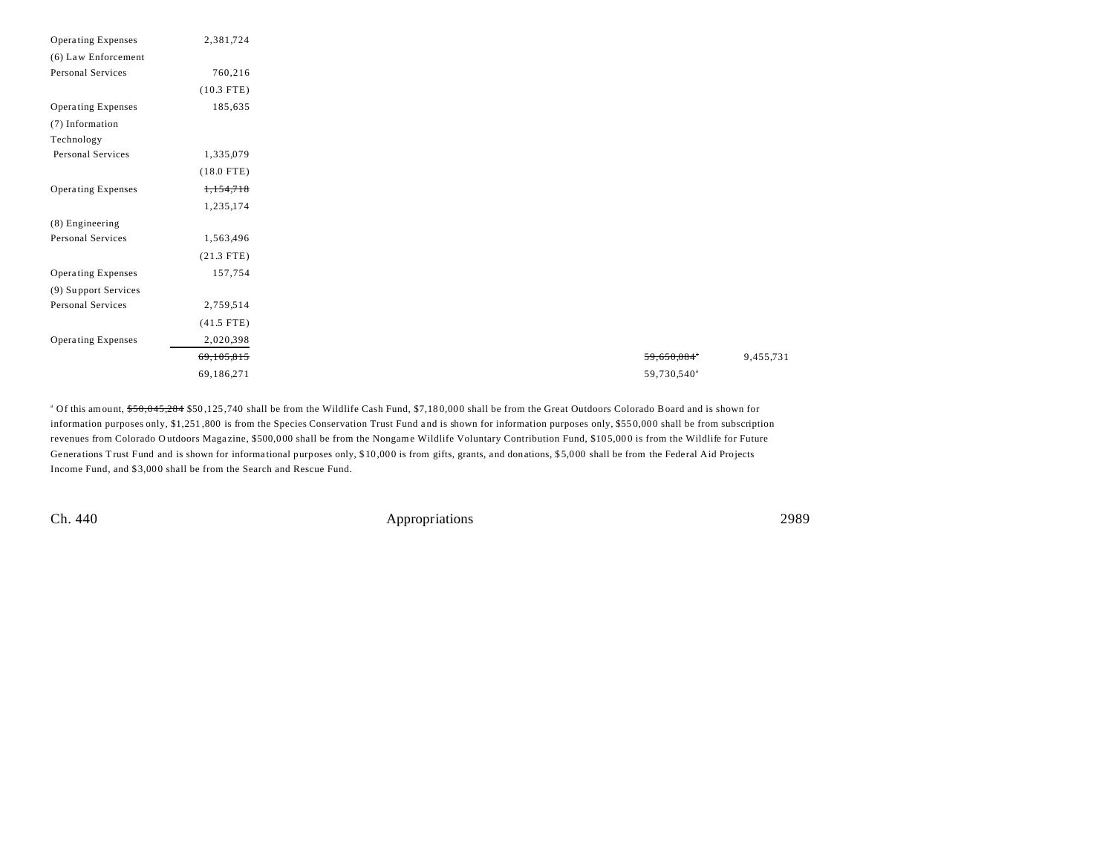| Operating Expenses   | 2,381,724    |
|----------------------|--------------|
| (6) Law Enforcement  |              |
| Personal Services    | 760,216      |
|                      | $(10.3$ FTE) |
| Operating Expenses   | 185,635      |
| (7) Information      |              |
| Technology           |              |
| Personal Services    | 1,335,079    |
|                      | $(18.0$ FTE) |
| Operating Expenses   | 1,154,718    |
|                      | 1,235,174    |
| (8) Engineering      |              |
| Personal Services    | 1,563,496    |
|                      | $(21.3$ FTE) |
| Operating Expenses   | 157,754      |
| (9) Support Services |              |
| Personal Services    | 2,759,514    |
|                      | $(41.5$ FTE) |
| Operating Expenses   | 2,020,398    |
|                      | 69,105,815   |
|                      | 69,186,271   |
|                      |              |

<sup>a</sup> Of this amount, <del>\$50,045,284</del> \$50,125,740 shall be from the Wildlife Cash Fund, \$7,180,000 shall be from the Great Outdoors Colorado Board and is shown for information purposes only, \$1,251,800 is from the Species Conservation Trust Fund and is shown for information purposes only, \$550,000 shall be from subscription revenues from Colorado Outdoors Magazine, \$500,000 shall be from the Nongame Wildlife Voluntary Contribution Fund, \$105,000 is from the Wildlife for Future Generations Trust Fund and is shown for informa tional purposes only, \$ 10 ,00 0 is from gifts, grants, and donations, \$ 5,0 00 shall be from the Federal Aid Projects Income Fund, and \$3,000 shall be from the Search and Rescue Fund.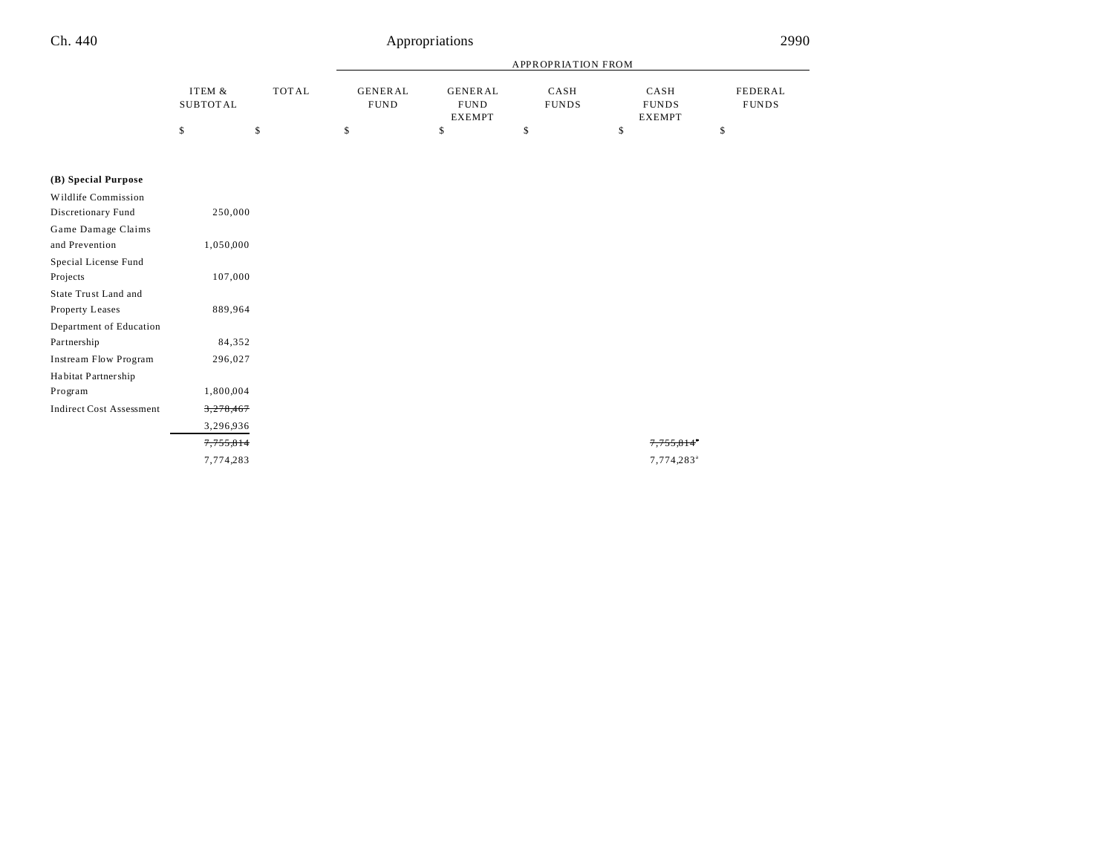|          |       | APPROPRIATION FROM |                |              |               |              |
|----------|-------|--------------------|----------------|--------------|---------------|--------------|
| ITEM &   | TOTAL | GENERAL            | <b>GENERAL</b> | CASH         | CASH          | FEDERAL      |
| SUBTOTAL |       | <b>FUND</b>        | <b>FUND</b>    | <b>FUNDS</b> | <b>FUNDS</b>  | <b>FUNDS</b> |
|          |       |                    | <b>EXEMPT</b>  |              | <b>EXEMPT</b> |              |
|          |       |                    |                |              |               |              |

## **(B) Special Purpose**

| Wildlife Commission             |           |
|---------------------------------|-----------|
| Discretionary Fund              | 250,000   |
| Game Damage Claims              |           |
| and Prevention                  | 1,050,000 |
| Special License Fund            |           |
| Projects                        | 107,000   |
| State Trust Land and            |           |
| Property Leases                 | 889,964   |
| Department of Education         |           |
| Partnership                     | 84,352    |
| Instream Flow Program           | 296,027   |
| Habitat Partnership             |           |
| Program                         | 1,800,004 |
| <b>Indirect Cost Assessment</b> | 3,278,467 |
|                                 | 3,296,936 |
|                                 | 7,755,814 |
|                                 | 7,774,283 |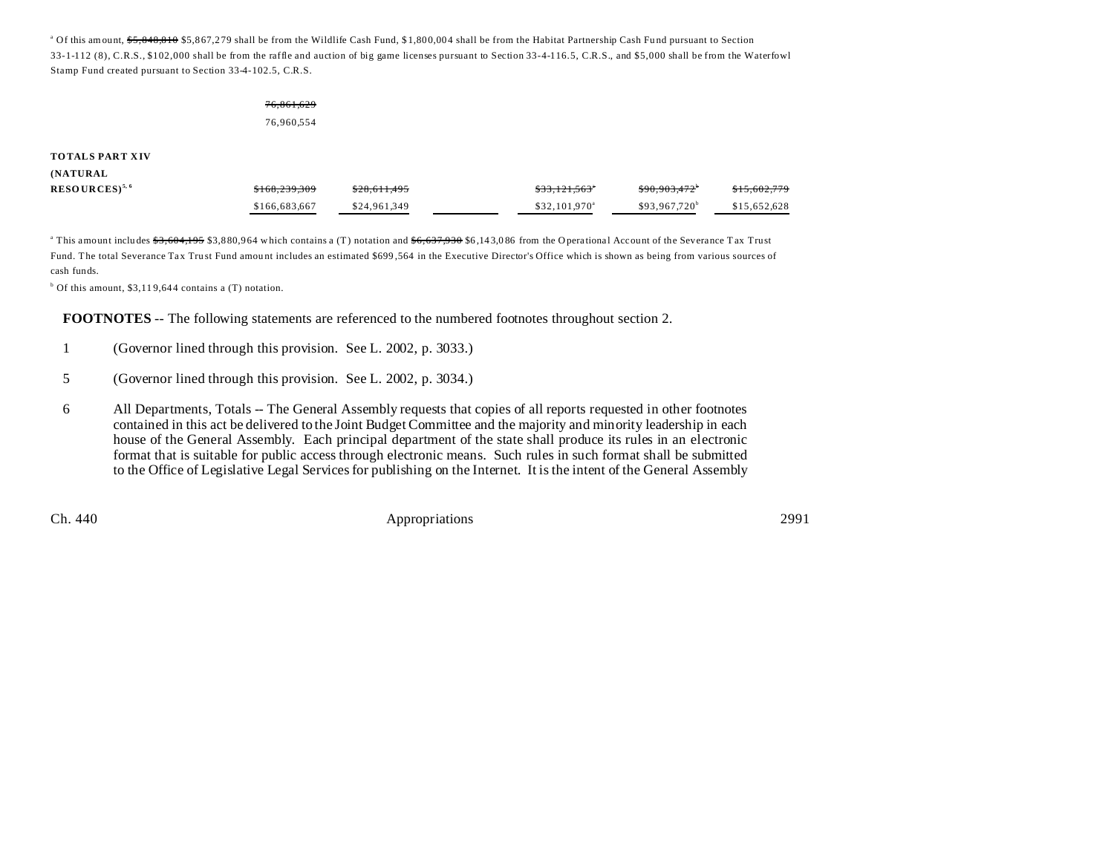<sup>a</sup> Of this amount, <del>\$5,848,810</del> \$5,867,279 shall be from the Wildlife Cash Fund, \$1,800,004 shall be from the Habitat Partnership Cash Fund pursuant to Section 33-1-112 (8), C.R.S., \$102,000 shall be from the raffle and auction of big game licenses pursuant to Section 33-4-116.5, C.R.S., and \$5,000 shall be from the Waterfowl Stamp Fund created pursuant to Section 33-4-102.5, C.R.S.

## 76,861,629 76,960,554

#### **TOTALS PART XIV**

### **(NATURAL**

| $RESOURCES)^{5,6}$ | <del>\$168.239.309</del> | \$28.611.495 | \$33.121.563"              | <del>\$90.903.472</del> | <del>\$15.602.779</del> |
|--------------------|--------------------------|--------------|----------------------------|-------------------------|-------------------------|
|                    | \$166,683,667            | \$24,961,349 | $$32.101.970$ <sup>a</sup> | $$93.967.720^b$         | \$15,652,628            |

<sup>a</sup> This amount includes <del>\$3,604,195</del> \$3,880,964 which contains a (T) notation and <del>\$6,637,930</del> \$6,143,086 from the Operational Account of the Severance Tax Trust Fund. The total Severance Tax Trust Fund amount includes an estimated \$699,564 in the Executive Director's Office which is shown as being from various sources of cash funds.

<sup>b</sup> Of this amount, \$3,119,644 contains a (T) notation.

**FOOTNOTES** -- The following statements are referenced to the numbered footnotes throughout section 2.

- 1 (Governor lined through this provision. See L. 2002, p. 3033.)
- 5 (Governor lined through this provision. See L. 2002, p. 3034.)
- 6 All Departments, Totals -- The General Assembly requests that copies of all reports requested in other footnotes contained in this act be delivered to the Joint Budget Committee and the majority and minority leadership in each house of the General Assembly. Each principal department of the state shall produce its rules in an electronic format that is suitable for public access through electronic means. Such rules in such format shall be submitted to the Office of Legislative Legal Services for publishing on the Internet. It is the intent of the General Assembly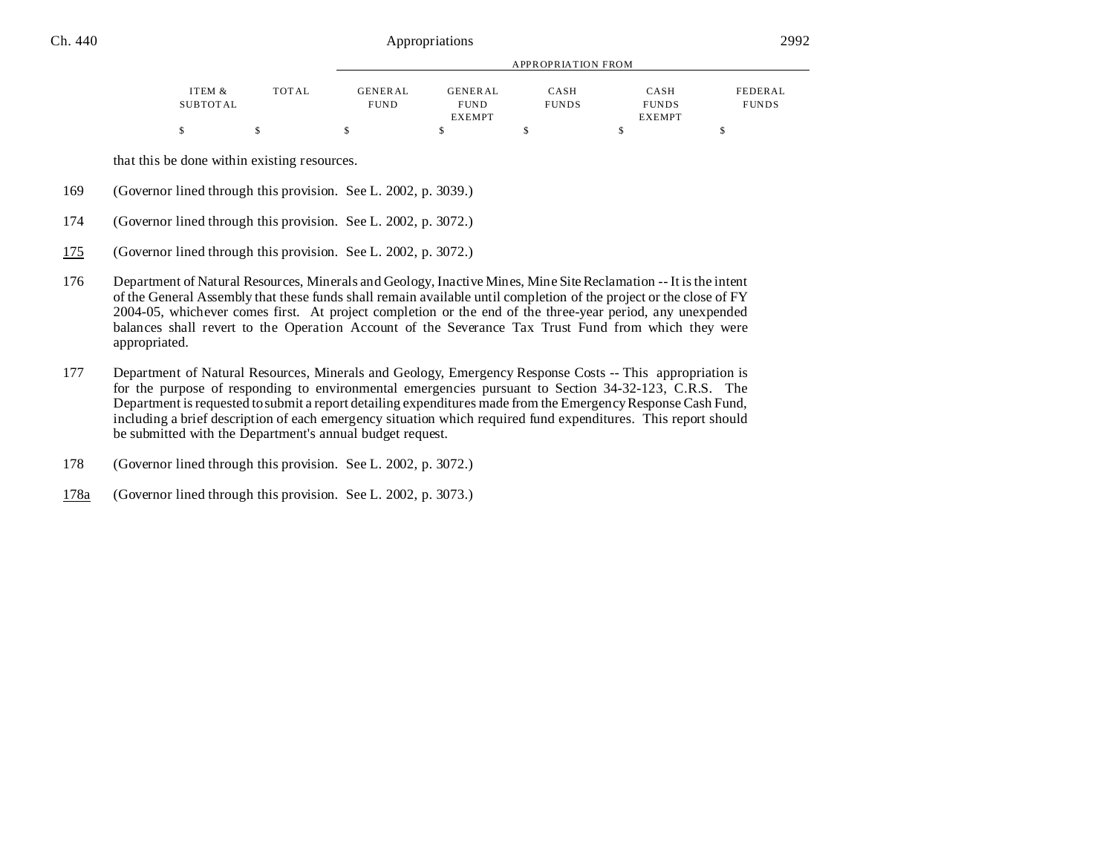|          |       |             | APPROPRIATION FROM |              |               |              |  |
|----------|-------|-------------|--------------------|--------------|---------------|--------------|--|
| ITEM &   | TOTAL | GENERAL     | <b>GENERAL</b>     | CASH         | CASH          | FEDERAL      |  |
| SUBTOTAL |       | <b>FUND</b> | <b>FUND</b>        | <b>FUNDS</b> | <b>FUNDS</b>  | <b>FUNDS</b> |  |
|          |       |             | <b>EXEMPT</b>      |              | <b>EXEMPT</b> |              |  |
|          |       |             |                    |              |               |              |  |

that this be done within existing resources.

- 169 (Governor lined through this provision. See L. 2002, p. 3039.)
- 174 (Governor lined through this provision. See L. 2002, p. 3072.)
- 175 (Governor lined through this provision. See L. 2002, p. 3072.)
- 176 Department of Natural Resources, Minerals and Geology, Inactive Mines, Mine Site Reclamation -- It is the intent of the General Assembly that these funds shall remain available until completion of the project or the close of FY 2004-05, whichever comes first. At project completion or the end of the three-year period, any unexpended balances shall revert to the Operation Account of the Severance Tax Trust Fund from which they were appropriated.
- 177 Department of Natural Resources, Minerals and Geology, Emergency Response Costs -- This appropriation is for the purpose of responding to environmental emergencies pursuant to Section 34-32-123, C.R.S. The Department is requested to submit a report detailing expenditures made from the Emergency Response Cash Fund, including a brief description of each emergency situation which required fund expenditures. This report should be submitted with the Department's annual budget request.
- 178 (Governor lined through this provision. See L. 2002, p. 3072.)
- 178a (Governor lined through this provision. See L. 2002, p. 3073.)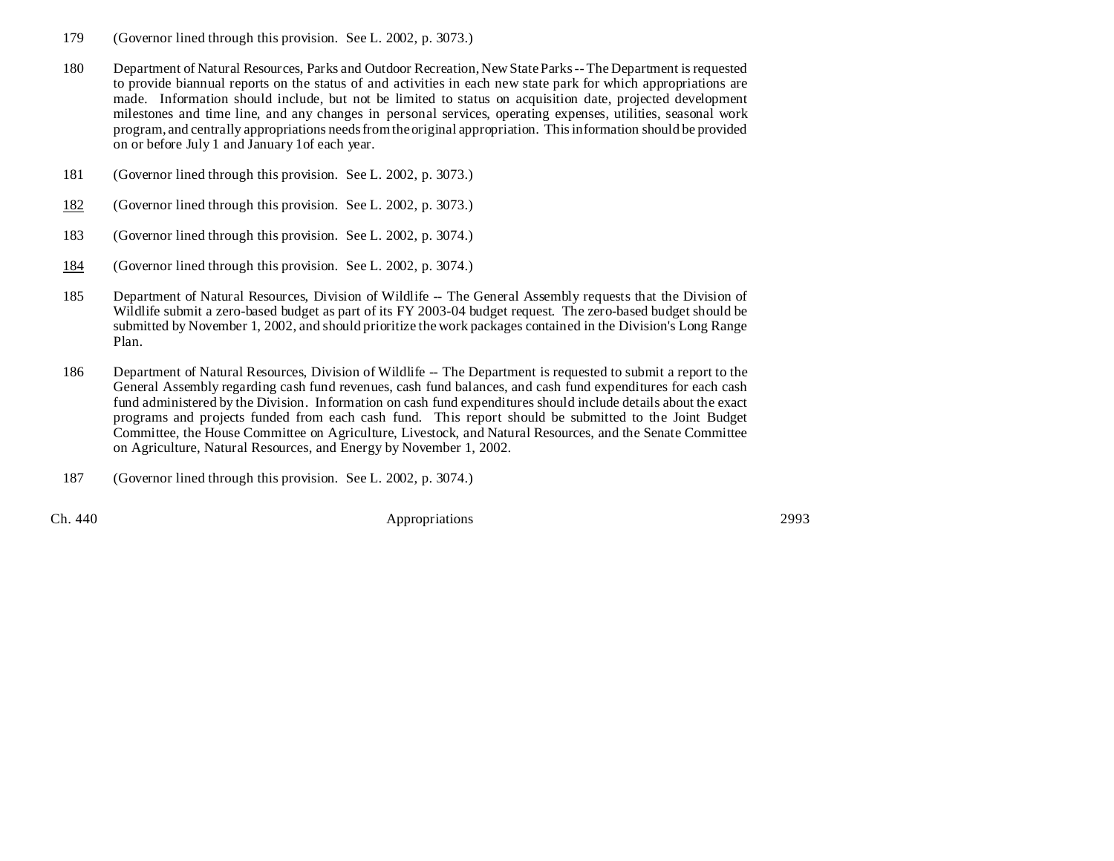- 179 (Governor lined through this provision. See L. 2002, p. 3073.)
- 180 Department of Natural Resources, Parks and Outdoor Recreation, New State Parks -- The Department is requested to provide biannual reports on the status of and activities in each new state park for which appropriations are made. Information should include, but not be limited to status on acquisition date, projected development milestones and time line, and any changes in personal services, operating expenses, utilities, seasonal work program, and centrally appropriations needs from the original appropriation. This information should be provided on or before July 1 and January 1of each year.
- 181 (Governor lined through this provision. See L. 2002, p. 3073.)
- 182 (Governor lined through this provision. See L. 2002, p. 3073.)
- 183 (Governor lined through this provision. See L. 2002, p. 3074.)
- 184 (Governor lined through this provision. See L. 2002, p. 3074.)
- 185 Department of Natural Resources, Division of Wildlife -- The General Assembly requests that the Division of Wildlife submit a zero-based budget as part of its FY 2003-04 budget request. The zero-based budget should be submitted by November 1, 2002, and should prioritize the work packages contained in the Division's Long Range Plan.
- 186 Department of Natural Resources, Division of Wildlife -- The Department is requested to submit a report to the General Assembly regarding cash fund revenues, cash fund balances, and cash fund expenditures for each cash fund administered by the Division. Information on cash fund expenditures should include details about the exact programs and projects funded from each cash fund. This report should be submitted to the Joint Budget Committee, the House Committee on Agriculture, Livestock, and Natural Resources, and the Senate Committee on Agriculture, Natural Resources, and Energy by November 1, 2002.
- 187 (Governor lined through this provision. See L. 2002, p. 3074.)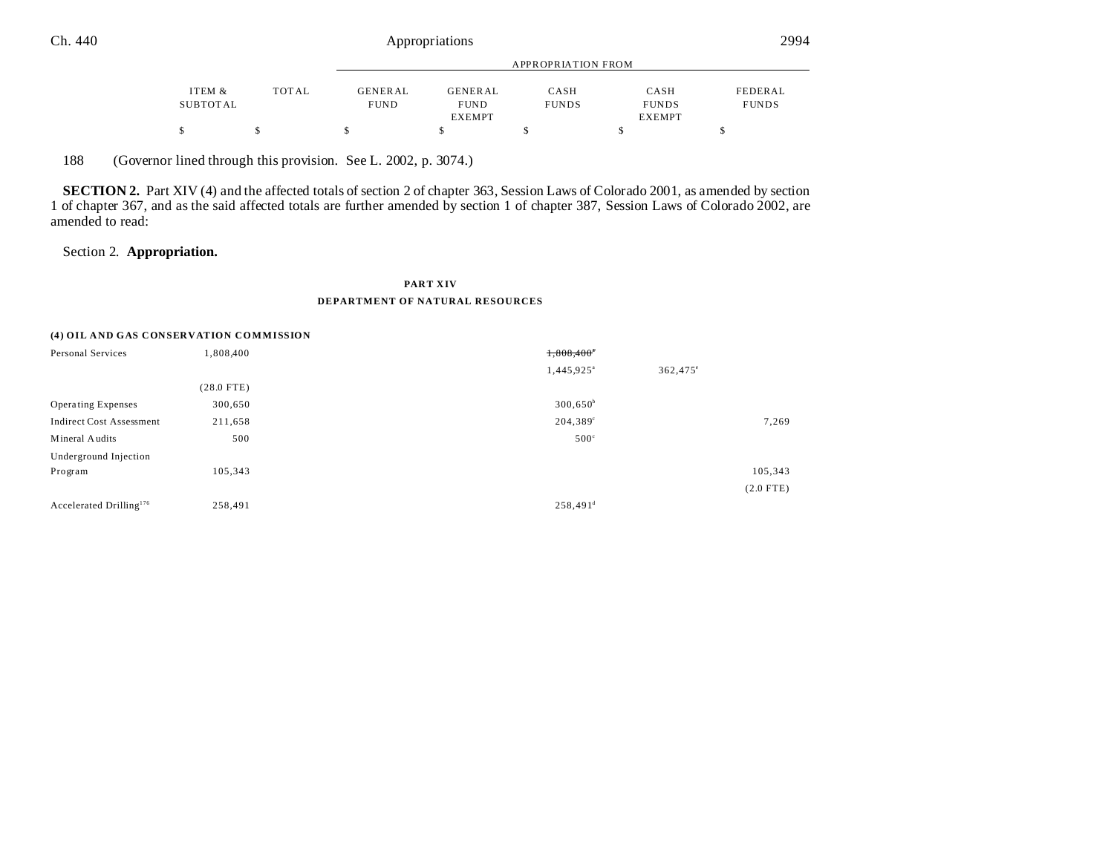|          |              | APPROPRIATION FROM |                |              |               |              |
|----------|--------------|--------------------|----------------|--------------|---------------|--------------|
|          |              |                    |                |              |               |              |
| ITEM &   | <b>TOTAL</b> | GENERAL            | <b>GENERAL</b> | CASH         | CASH          | FEDERAL      |
| SUBTOTAL |              | <b>FUND</b>        | <b>FUND</b>    | <b>FUNDS</b> | <b>FUNDS</b>  | <b>FUNDS</b> |
|          |              |                    | <b>EXEMPT</b>  |              | <b>EXEMPT</b> |              |
|          |              |                    |                |              |               |              |

188 (Governor lined through this provision. See L. 2002, p. 3074.)

**SECTION 2.** Part XIV (4) and the affected totals of section 2 of chapter 363, Session Laws of Colorado 2001, as amended by section 1 of chapter 367, and as the said affected totals are further amended by section 1 of chapter 387, Session Laws of Colorado 2002, are amended to read:

## Section 2. **Appropriation.**

## **PART XIV DEPARTMENT OF NATURAL RESOURCES**

#### **(4) OIL AND GAS CONSERVATION COMMISSION**

| Personal Services                   | 1,808,400    | 1,808,400*             |                   |
|-------------------------------------|--------------|------------------------|-------------------|
|                                     |              | 1,445,925 <sup>a</sup> | $362,475^{\circ}$ |
|                                     | $(28.0$ FTE) |                        |                   |
| <b>Operating Expenses</b>           | 300,650      | $300,650^b$            |                   |
| <b>Indirect Cost Assessment</b>     | 211,658      | 204,389 <sup>c</sup>   | 7,269             |
| Mineral Audits                      | 500          | $500^{\circ}$          |                   |
| Underground Injection               |              |                        |                   |
| Program                             | 105,343      |                        | 105,343           |
|                                     |              |                        | $(2.0$ FTE)       |
| Accelerated Drilling <sup>176</sup> | 258,491      | $258,491^d$            |                   |